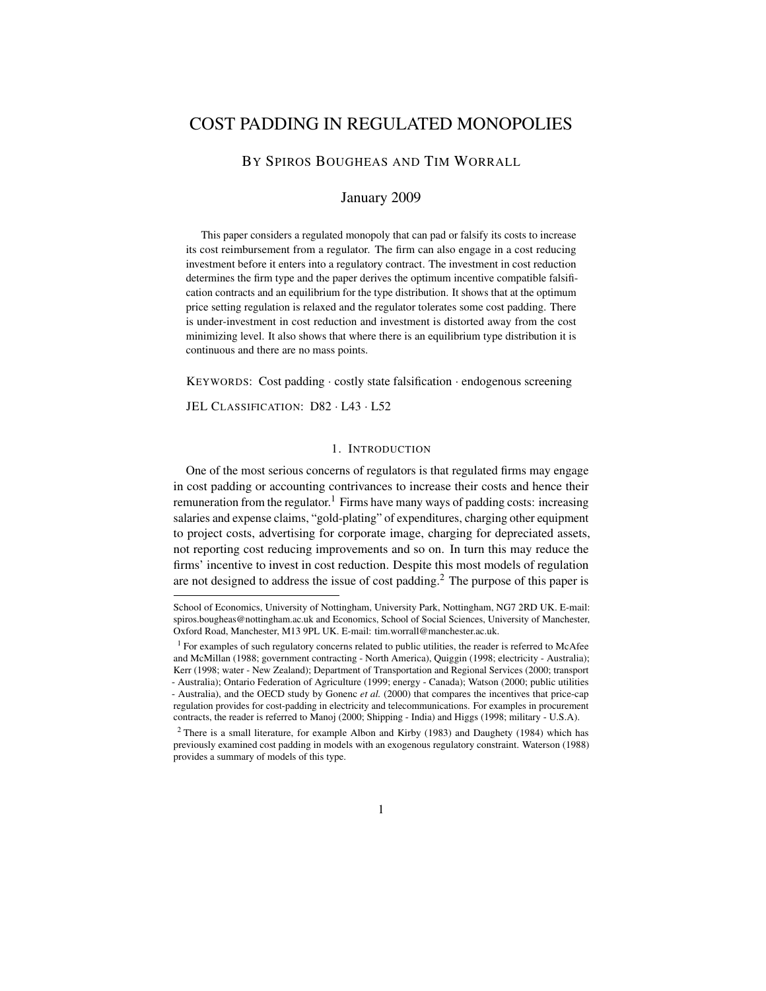# COST PADDING IN REGULATED MONOPOLIES

# BY SPIROS BOUGHEAS AND TIM WORRALL

## January 2009

This paper considers a regulated monopoly that can pad or falsify its costs to increase its cost reimbursement from a regulator. The firm can also engage in a cost reducing investment before it enters into a regulatory contract. The investment in cost reduction determines the firm type and the paper derives the optimum incentive compatible falsification contracts and an equilibrium for the type distribution. It shows that at the optimum price setting regulation is relaxed and the regulator tolerates some cost padding. There is under-investment in cost reduction and investment is distorted away from the cost minimizing level. It also shows that where there is an equilibrium type distribution it is continuous and there are no mass points.

KEYWORDS: Cost padding · costly state falsification · endogenous screening

JEL CLASSIFICATION: D82 · L43 · L52

#### 1. INTRODUCTION

One of the most serious concerns of regulators is that regulated firms may engage in cost padding or accounting contrivances to increase their costs and hence their remuneration from the regulator.<sup>1</sup> Firms have many ways of padding costs: increasing salaries and expense claims, "gold-plating" of expenditures, charging other equipment to project costs, advertising for corporate image, charging for depreciated assets, not reporting cost reducing improvements and so on. In turn this may reduce the firms' incentive to invest in cost reduction. Despite this most models of regulation are not designed to address the issue of cost padding.<sup>2</sup> The purpose of this paper is

School of Economics, University of Nottingham, University Park, Nottingham, NG7 2RD UK. E-mail: spiros.bougheas@nottingham.ac.uk and Economics, School of Social Sciences, University of Manchester, Oxford Road, Manchester, M13 9PL UK. E-mail: tim.worrall@manchester.ac.uk.

<sup>&</sup>lt;sup>1</sup> For examples of such regulatory concerns related to public utilities, the reader is referred to McAfee and McMillan (1988; government contracting - North America), Quiggin (1998; electricity - Australia); Kerr (1998; water - New Zealand); Department of Transportation and Regional Services (2000; transport - Australia); Ontario Federation of Agriculture (1999; energy - Canada); Watson (2000; public utilities - Australia), and the OECD study by Gonenc *et al.* (2000) that compares the incentives that price-cap regulation provides for cost-padding in electricity and telecommunications. For examples in procurement contracts, the reader is referred to Manoj (2000; Shipping - India) and Higgs (1998; military - U.S.A).

<sup>&</sup>lt;sup>2</sup> There is a small literature, for example Albon and Kirby (1983) and Daughety (1984) which has previously examined cost padding in models with an exogenous regulatory constraint. Waterson (1988) provides a summary of models of this type.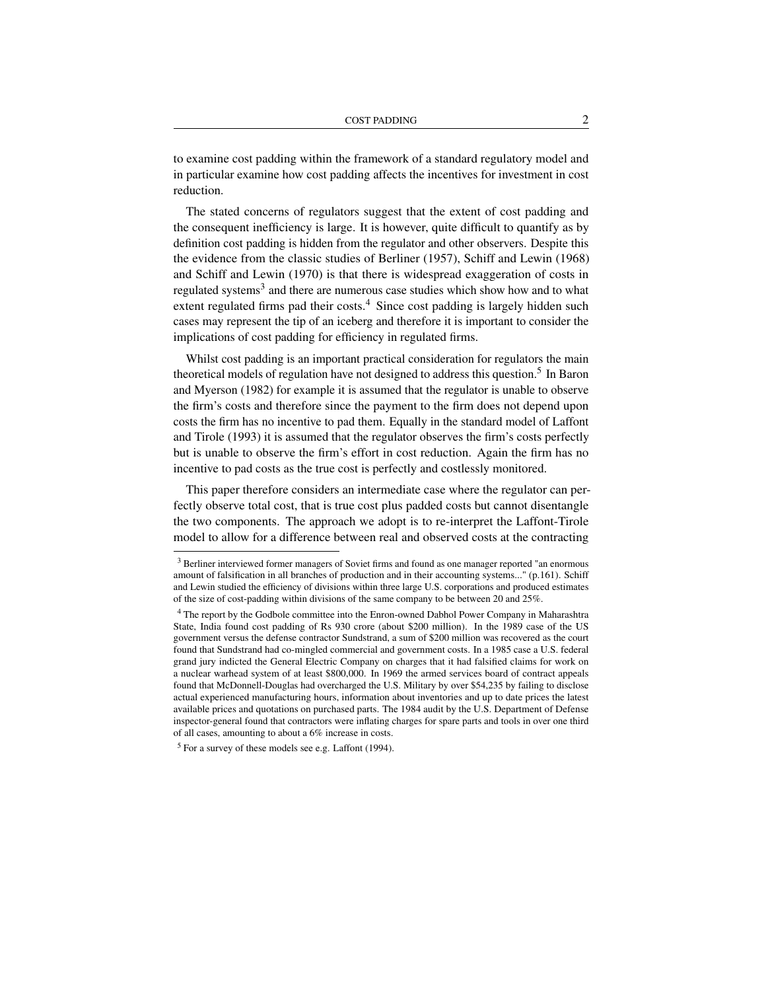to examine cost padding within the framework of a standard regulatory model and in particular examine how cost padding affects the incentives for investment in cost reduction.

The stated concerns of regulators suggest that the extent of cost padding and the consequent inefficiency is large. It is however, quite difficult to quantify as by definition cost padding is hidden from the regulator and other observers. Despite this the evidence from the classic studies of Berliner (1957), Schiff and Lewin (1968) and Schiff and Lewin (1970) is that there is widespread exaggeration of costs in regulated systems<sup>3</sup> and there are numerous case studies which show how and to what extent regulated firms pad their costs.<sup>4</sup> Since cost padding is largely hidden such cases may represent the tip of an iceberg and therefore it is important to consider the implications of cost padding for efficiency in regulated firms.

Whilst cost padding is an important practical consideration for regulators the main theoretical models of regulation have not designed to address this question.<sup>5</sup> In Baron and Myerson (1982) for example it is assumed that the regulator is unable to observe the firm's costs and therefore since the payment to the firm does not depend upon costs the firm has no incentive to pad them. Equally in the standard model of Laffont and Tirole (1993) it is assumed that the regulator observes the firm's costs perfectly but is unable to observe the firm's effort in cost reduction. Again the firm has no incentive to pad costs as the true cost is perfectly and costlessly monitored.

This paper therefore considers an intermediate case where the regulator can perfectly observe total cost, that is true cost plus padded costs but cannot disentangle the two components. The approach we adopt is to re-interpret the Laffont-Tirole model to allow for a difference between real and observed costs at the contracting

<sup>&</sup>lt;sup>3</sup> Berliner interviewed former managers of Soviet firms and found as one manager reported "an enormous amount of falsification in all branches of production and in their accounting systems..." (p.161). Schiff and Lewin studied the efficiency of divisions within three large U.S. corporations and produced estimates of the size of cost-padding within divisions of the same company to be between 20 and 25%.

<sup>&</sup>lt;sup>4</sup> The report by the Godbole committee into the Enron-owned Dabhol Power Company in Maharashtra State, India found cost padding of Rs 930 crore (about \$200 million). In the 1989 case of the US government versus the defense contractor Sundstrand, a sum of \$200 million was recovered as the court found that Sundstrand had co-mingled commercial and government costs. In a 1985 case a U.S. federal grand jury indicted the General Electric Company on charges that it had falsified claims for work on a nuclear warhead system of at least \$800,000. In 1969 the armed services board of contract appeals found that McDonnell-Douglas had overcharged the U.S. Military by over \$54,235 by failing to disclose actual experienced manufacturing hours, information about inventories and up to date prices the latest available prices and quotations on purchased parts. The 1984 audit by the U.S. Department of Defense inspector-general found that contractors were inflating charges for spare parts and tools in over one third of all cases, amounting to about a 6% increase in costs.

 $<sup>5</sup>$  For a survey of these models see e.g. Laffont (1994).</sup>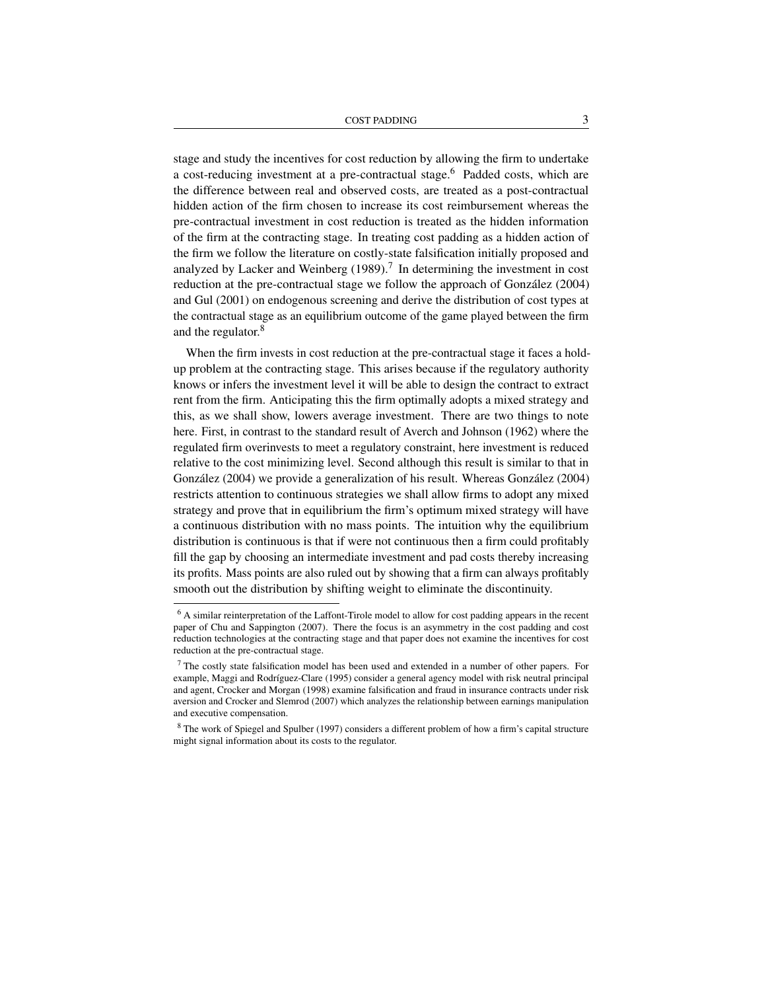COST PADDING 3

stage and study the incentives for cost reduction by allowing the firm to undertake a cost-reducing investment at a pre-contractual stage.<sup>6</sup> Padded costs, which are the difference between real and observed costs, are treated as a post-contractual hidden action of the firm chosen to increase its cost reimbursement whereas the pre-contractual investment in cost reduction is treated as the hidden information of the firm at the contracting stage. In treating cost padding as a hidden action of the firm we follow the literature on costly-state falsification initially proposed and analyzed by Lacker and Weinberg  $(1989)$ .<sup>7</sup> In determining the investment in cost reduction at the pre-contractual stage we follow the approach of González (2004) and Gul (2001) on endogenous screening and derive the distribution of cost types at the contractual stage as an equilibrium outcome of the game played between the firm and the regulator.<sup>8</sup>

When the firm invests in cost reduction at the pre-contractual stage it faces a holdup problem at the contracting stage. This arises because if the regulatory authority knows or infers the investment level it will be able to design the contract to extract rent from the firm. Anticipating this the firm optimally adopts a mixed strategy and this, as we shall show, lowers average investment. There are two things to note here. First, in contrast to the standard result of Averch and Johnson (1962) where the regulated firm overinvests to meet a regulatory constraint, here investment is reduced relative to the cost minimizing level. Second although this result is similar to that in González (2004) we provide a generalization of his result. Whereas González (2004) restricts attention to continuous strategies we shall allow firms to adopt any mixed strategy and prove that in equilibrium the firm's optimum mixed strategy will have a continuous distribution with no mass points. The intuition why the equilibrium distribution is continuous is that if were not continuous then a firm could profitably fill the gap by choosing an intermediate investment and pad costs thereby increasing its profits. Mass points are also ruled out by showing that a firm can always profitably smooth out the distribution by shifting weight to eliminate the discontinuity.

<sup>6</sup> A similar reinterpretation of the Laffont-Tirole model to allow for cost padding appears in the recent paper of Chu and Sappington (2007). There the focus is an asymmetry in the cost padding and cost reduction technologies at the contracting stage and that paper does not examine the incentives for cost reduction at the pre-contractual stage.

<sup>7</sup> The costly state falsification model has been used and extended in a number of other papers. For example, Maggi and Rodríguez-Clare (1995) consider a general agency model with risk neutral principal and agent, Crocker and Morgan (1998) examine falsification and fraud in insurance contracts under risk aversion and Crocker and Slemrod (2007) which analyzes the relationship between earnings manipulation and executive compensation.

<sup>8</sup> The work of Spiegel and Spulber (1997) considers a different problem of how a firm's capital structure might signal information about its costs to the regulator.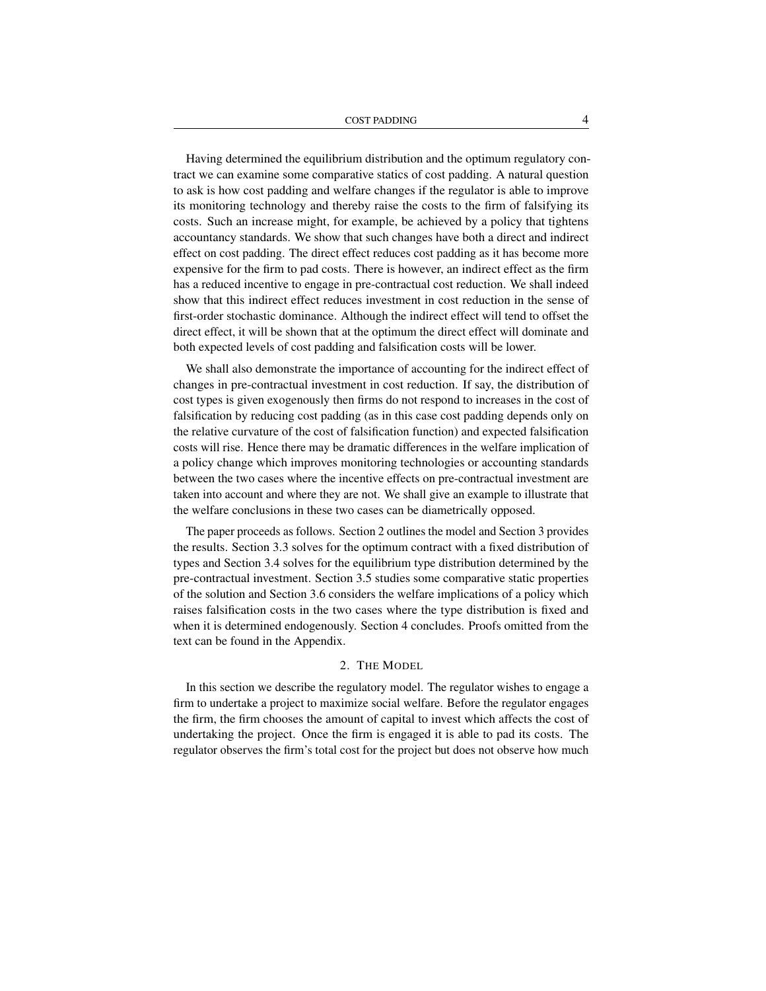Having determined the equilibrium distribution and the optimum regulatory contract we can examine some comparative statics of cost padding. A natural question to ask is how cost padding and welfare changes if the regulator is able to improve its monitoring technology and thereby raise the costs to the firm of falsifying its costs. Such an increase might, for example, be achieved by a policy that tightens accountancy standards. We show that such changes have both a direct and indirect effect on cost padding. The direct effect reduces cost padding as it has become more expensive for the firm to pad costs. There is however, an indirect effect as the firm has a reduced incentive to engage in pre-contractual cost reduction. We shall indeed show that this indirect effect reduces investment in cost reduction in the sense of first-order stochastic dominance. Although the indirect effect will tend to offset the direct effect, it will be shown that at the optimum the direct effect will dominate and both expected levels of cost padding and falsification costs will be lower.

We shall also demonstrate the importance of accounting for the indirect effect of changes in pre-contractual investment in cost reduction. If say, the distribution of cost types is given exogenously then firms do not respond to increases in the cost of falsification by reducing cost padding (as in this case cost padding depends only on the relative curvature of the cost of falsification function) and expected falsification costs will rise. Hence there may be dramatic differences in the welfare implication of a policy change which improves monitoring technologies or accounting standards between the two cases where the incentive effects on pre-contractual investment are taken into account and where they are not. We shall give an example to illustrate that the welfare conclusions in these two cases can be diametrically opposed.

The paper proceeds as follows. Section 2 outlines the model and Section 3 provides the results. Section 3.3 solves for the optimum contract with a fixed distribution of types and Section 3.4 solves for the equilibrium type distribution determined by the pre-contractual investment. Section 3.5 studies some comparative static properties of the solution and Section 3.6 considers the welfare implications of a policy which raises falsification costs in the two cases where the type distribution is fixed and when it is determined endogenously. Section 4 concludes. Proofs omitted from the text can be found in the Appendix.

## 2. THE MODEL

In this section we describe the regulatory model. The regulator wishes to engage a firm to undertake a project to maximize social welfare. Before the regulator engages the firm, the firm chooses the amount of capital to invest which affects the cost of undertaking the project. Once the firm is engaged it is able to pad its costs. The regulator observes the firm's total cost for the project but does not observe how much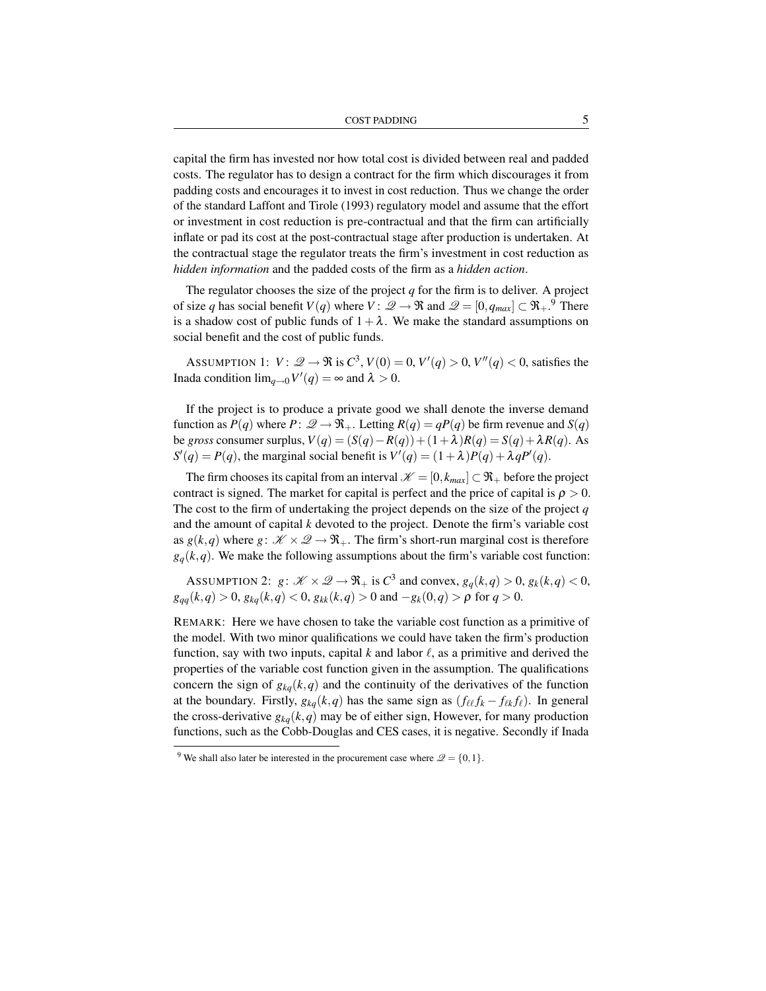capital the firm has invested nor how total cost is divided between real and padded costs. The regulator has to design a contract for the firm which discourages it from padding costs and encourages it to invest in cost reduction. Thus we change the order of the standard Laffont and Tirole (1993) regulatory model and assume that the effort or investment in cost reduction is pre-contractual and that the firm can artificially inflate or pad its cost at the post-contractual stage after production is undertaken. At the contractual stage the regulator treats the firm's investment in cost reduction as *hidden information* and the padded costs of the firm as a *hidden action*.

The regulator chooses the size of the project *q* for the firm is to deliver. A project of size *q* has social benefit *V*(*q*) where *V* :  $\mathscr{Q} \to \Re$  and  $\mathscr{Q} = [0, q_{max}] \subset \Re_+$ .<sup>9</sup> There is a shadow cost of public funds of  $1+\lambda$ . We make the standard assumptions on social benefit and the cost of public funds.

ASSUMPTION 1:  $V: \mathcal{Q} \to \mathfrak{R}$  is  $C^3$ ,  $V(0) = 0$ ,  $V'(q) > 0$ ,  $V''(q) < 0$ , satisfies the Inada condition  $\lim_{q\to 0} V'(q) = \infty$  and  $\lambda > 0$ .

If the project is to produce a private good we shall denote the inverse demand function as  $P(q)$  where  $P: \mathcal{Q} \to \mathcal{R}_+$ . Letting  $R(q) = qP(q)$  be firm revenue and  $S(q)$ be *gross* consumer surplus,  $V(q) = (S(q) - R(q)) + (1 + \lambda)R(q) = S(q) + \lambda R(q)$ . As  $S'(q) = P(q)$ , the marginal social benefit is  $V'(q) = (1 + \lambda)P(q) + \lambda qP'(q)$ .

The firm chooses its capital from an interval  $\mathcal{K} = [0, k_{max}] \subset \mathbb{R}^+$  before the project contract is signed. The market for capital is perfect and the price of capital is  $\rho > 0$ . The cost to the firm of undertaking the project depends on the size of the project *q* and the amount of capital *k* devoted to the project. Denote the firm's variable cost as  $g(k,q)$  where  $g: \mathcal{K} \times \mathcal{Q} \rightarrow \mathfrak{R}_+$ . The firm's short-run marginal cost is therefore  $g_q(k, q)$ . We make the following assumptions about the firm's variable cost function:

ASSUMPTION 2:  $g: \mathcal{K} \times \mathcal{Q} \rightarrow \Re_+$  is  $C^3$  and convex,  $g_q(k,q) > 0$ ,  $g_k(k,q) < 0$ ,  $g_{qq}(k,q) > 0$ ,  $g_{kq}(k,q) < 0$ ,  $g_{kk}(k,q) > 0$  and  $-g_k(0,q) > \rho$  for  $q > 0$ .

REMARK: Here we have chosen to take the variable cost function as a primitive of the model. With two minor qualifications we could have taken the firm's production function, say with two inputs, capital  $k$  and labor  $\ell$ , as a primitive and derived the properties of the variable cost function given in the assumption. The qualifications concern the sign of  $g_{ka}(k,q)$  and the continuity of the derivatives of the function at the boundary. Firstly,  $g_{kq}(k,q)$  has the same sign as  $(f_{\ell \ell} f_k - f_{\ell k} f_{\ell})$ . In general the cross-derivative  $g_{kq}(k,q)$  may be of either sign, However, for many production functions, such as the Cobb-Douglas and CES cases, it is negative. Secondly if Inada

<sup>&</sup>lt;sup>9</sup> We shall also later be interested in the procurement case where  $\mathcal{Q} = \{0, 1\}$ .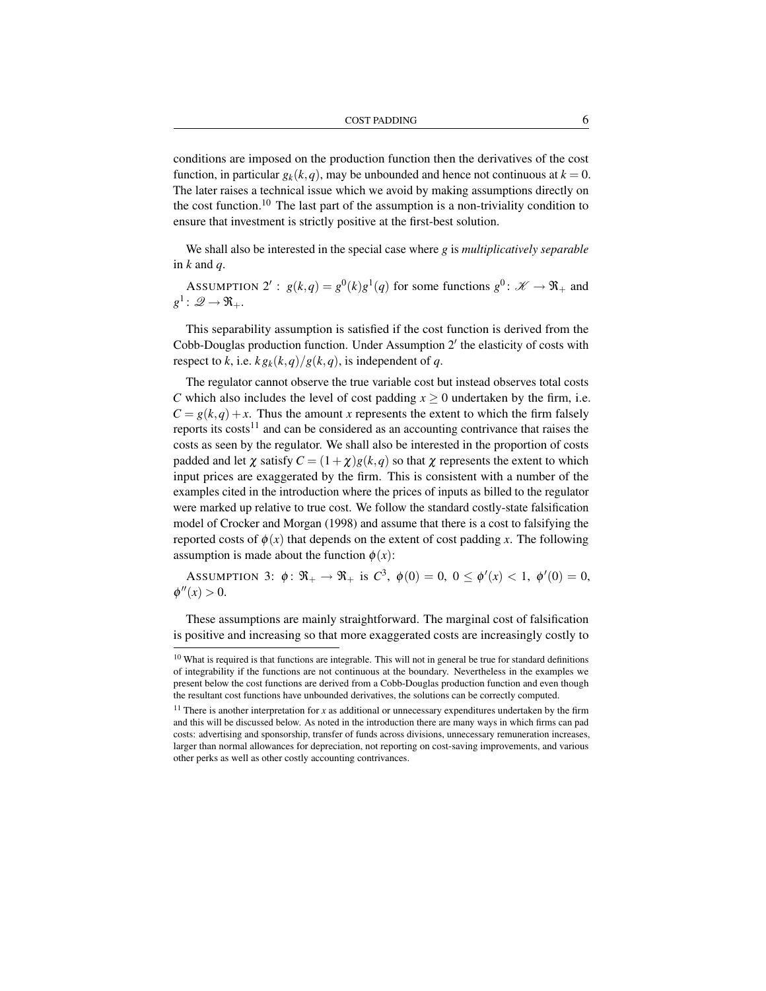conditions are imposed on the production function then the derivatives of the cost function, in particular  $g_k(k,q)$ , may be unbounded and hence not continuous at  $k = 0$ . The later raises a technical issue which we avoid by making assumptions directly on the cost function.<sup>10</sup> The last part of the assumption is a non-triviality condition to ensure that investment is strictly positive at the first-best solution.

We shall also be interested in the special case where *g* is *multiplicatively separable* in  $k$  and  $q$ .

ASSUMPTION 2':  $g(k,q) = g^0(k)g^1(q)$  for some functions  $g^0: \mathcal{K} \to \Re$ <sub>+</sub> and  $g^1\colon \mathscr{Q}\to\mathfrak{R}_+.$ 

This separability assumption is satisfied if the cost function is derived from the Cobb-Douglas production function. Under Assumption  $2'$  the elasticity of costs with respect to *k*, i.e.  $k g_k(k,q)/g(k,q)$ , is independent of *q*.

The regulator cannot observe the true variable cost but instead observes total costs *C* which also includes the level of cost padding  $x \ge 0$  undertaken by the firm, i.e.  $C = g(k, q) + x$ . Thus the amount *x* represents the extent to which the firm falsely reports its costs<sup>11</sup> and can be considered as an accounting contrivance that raises the costs as seen by the regulator. We shall also be interested in the proportion of costs padded and let  $\chi$  satisfy  $C = (1 + \chi)g(k, q)$  so that  $\chi$  represents the extent to which input prices are exaggerated by the firm. This is consistent with a number of the examples cited in the introduction where the prices of inputs as billed to the regulator were marked up relative to true cost. We follow the standard costly-state falsification model of Crocker and Morgan (1998) and assume that there is a cost to falsifying the reported costs of  $\phi(x)$  that depends on the extent of cost padding *x*. The following assumption is made about the function  $\phi(x)$ :

ASSUMPTION 3:  $\phi: \Re_+ \to \Re_+$  is  $C^3$ ,  $\phi(0) = 0$ ,  $0 \leq \phi'(x) < 1$ ,  $\phi'(0) = 0$ ,  $\phi''(x) > 0.$ 

These assumptions are mainly straightforward. The marginal cost of falsification is positive and increasing so that more exaggerated costs are increasingly costly to

<sup>&</sup>lt;sup>10</sup> What is required is that functions are integrable. This will not in general be true for standard definitions of integrability if the functions are not continuous at the boundary. Nevertheless in the examples we present below the cost functions are derived from a Cobb-Douglas production function and even though the resultant cost functions have unbounded derivatives, the solutions can be correctly computed.

<sup>&</sup>lt;sup>11</sup> There is another interpretation for  $x$  as additional or unnecessary expenditures undertaken by the firm and this will be discussed below. As noted in the introduction there are many ways in which firms can pad costs: advertising and sponsorship, transfer of funds across divisions, unnecessary remuneration increases, larger than normal allowances for depreciation, not reporting on cost-saving improvements, and various other perks as well as other costly accounting contrivances.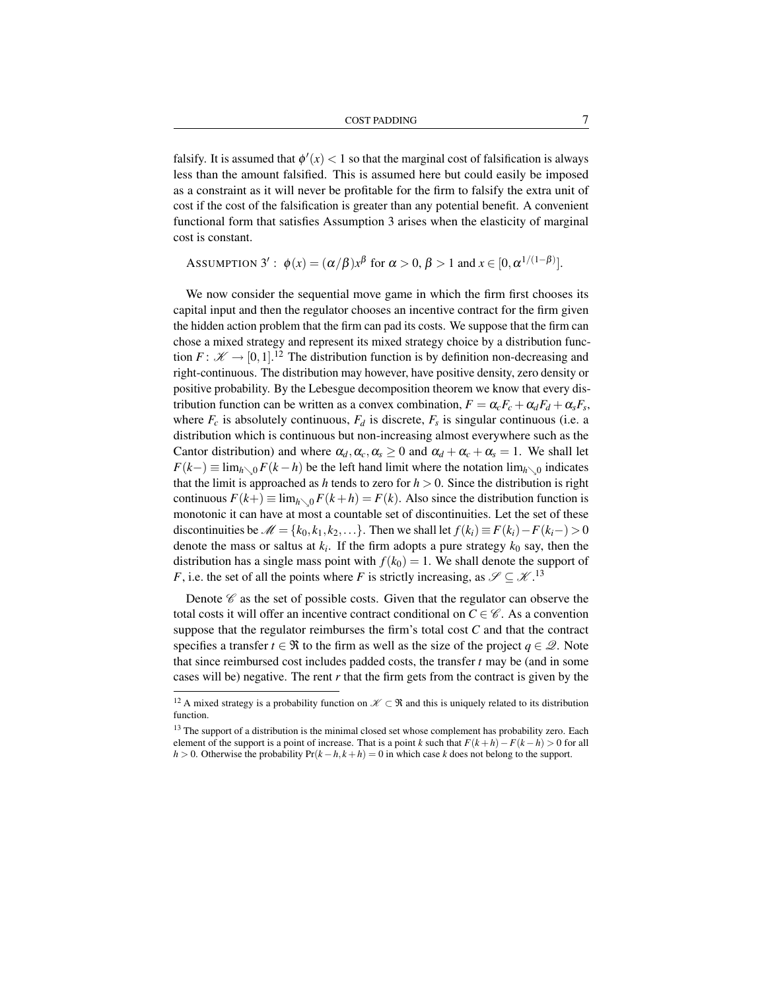COST PADDING 7

falsify. It is assumed that  $\phi'(x) < 1$  so that the marginal cost of falsification is always less than the amount falsified. This is assumed here but could easily be imposed as a constraint as it will never be profitable for the firm to falsify the extra unit of cost if the cost of the falsification is greater than any potential benefit. A convenient functional form that satisfies Assumption 3 arises when the elasticity of marginal cost is constant.

Assumption 3' : 
$$
\phi(x) = (\alpha/\beta)x^{\beta}
$$
 for  $\alpha > 0$ ,  $\beta > 1$  and  $x \in [0, \alpha^{1/(1-\beta)}]$ .

We now consider the sequential move game in which the firm first chooses its capital input and then the regulator chooses an incentive contract for the firm given the hidden action problem that the firm can pad its costs. We suppose that the firm can chose a mixed strategy and represent its mixed strategy choice by a distribution function  $F: \mathscr{K} \to [0,1]$ .<sup>12</sup> The distribution function is by definition non-decreasing and right-continuous. The distribution may however, have positive density, zero density or positive probability. By the Lebesgue decomposition theorem we know that every distribution function can be written as a convex combination,  $F = \alpha_c F_c + \alpha_d F_d + \alpha_s F_s$ , where  $F_c$  is absolutely continuous,  $F_d$  is discrete,  $F_s$  is singular continuous (i.e. a distribution which is continuous but non-increasing almost everywhere such as the Cantor distribution) and where  $\alpha_d, \alpha_c, \alpha_s \geq 0$  and  $\alpha_d + \alpha_c + \alpha_s = 1$ . We shall let  $F(k-) \equiv \lim_{h \to 0} F(k-h)$  be the left hand limit where the notation  $\lim_{h \to 0}$  indicates that the limit is approached as *h* tends to zero for  $h > 0$ . Since the distribution is right continuous  $F(k+) \equiv \lim_{h \searrow 0} F(k+h) = F(k)$ . Also since the distribution function is monotonic it can have at most a countable set of discontinuities. Let the set of these discontinuities be  $\mathcal{M} = \{k_0, k_1, k_2, \ldots\}$ . Then we shall let  $f(k_i) \equiv F(k_i) - F(k_i -) > 0$ denote the mass or saltus at  $k_i$ . If the firm adopts a pure strategy  $k_0$  say, then the distribution has a single mass point with  $f(k_0) = 1$ . We shall denote the support of *F*, i.e. the set of all the points where *F* is strictly increasing, as  $\mathscr{S} \subseteq \mathscr{K}$ .<sup>13</sup>

Denote  $\mathscr C$  as the set of possible costs. Given that the regulator can observe the total costs it will offer an incentive contract conditional on  $C \in \mathscr{C}$ . As a convention suppose that the regulator reimburses the firm's total cost *C* and that the contract specifies a transfer  $t \in \Re$  to the firm as well as the size of the project  $q \in \mathcal{Q}$ . Note that since reimbursed cost includes padded costs, the transfer *t* may be (and in some cases will be) negative. The rent *r* that the firm gets from the contract is given by the

<sup>&</sup>lt;sup>12</sup> A mixed strategy is a probability function on  $\mathscr{K} \subset \mathfrak{R}$  and this is uniquely related to its distribution function.

<sup>&</sup>lt;sup>13</sup> The support of a distribution is the minimal closed set whose complement has probability zero. Each element of the support is a point of increase. That is a point *k* such that  $F(k+h)-F(k-h) > 0$  for all *h* > 0. Otherwise the probability  $Pr(k - h, k + h) = 0$  in which case *k* does not belong to the support.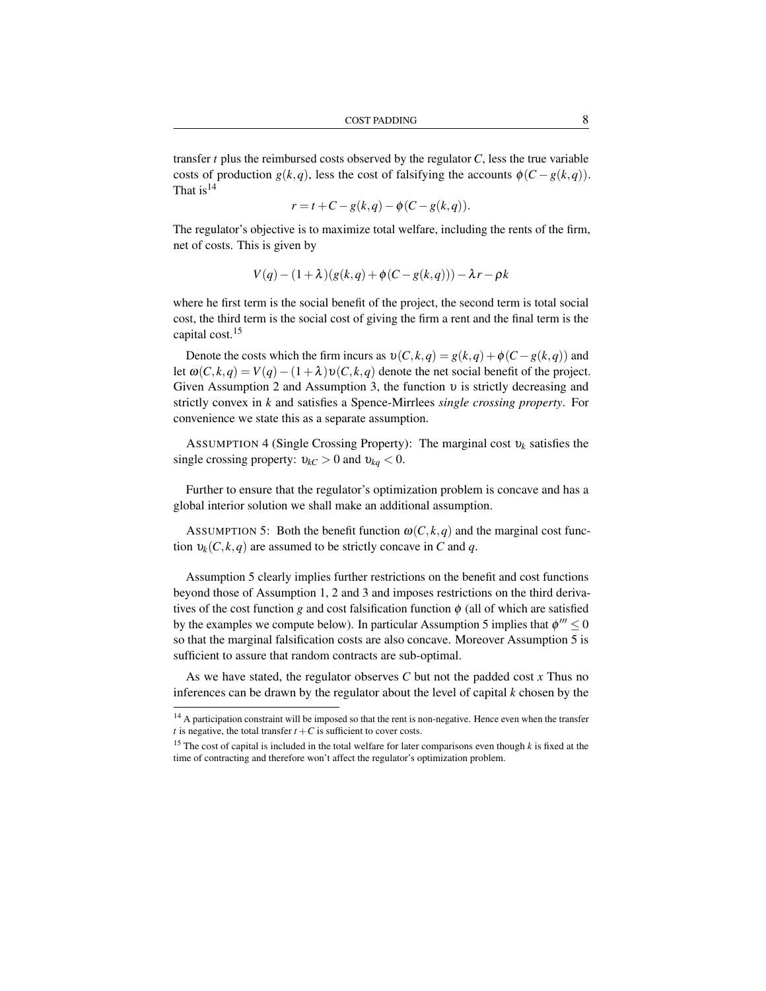transfer *t* plus the reimbursed costs observed by the regulator *C*, less the true variable costs of production  $g(k, q)$ , less the cost of falsifying the accounts  $\phi(C - g(k, q))$ . That is  $14$ 

$$
r = t + C - g(k,q) - \phi(C - g(k,q)).
$$

The regulator's objective is to maximize total welfare, including the rents of the firm, net of costs. This is given by

$$
V(q) - (1+\lambda)(g(k,q) + \phi(C - g(k,q))) - \lambda r - \rho k
$$

where he first term is the social benefit of the project, the second term is total social cost, the third term is the social cost of giving the firm a rent and the final term is the capital cost.<sup>15</sup>

Denote the costs which the firm incurs as  $v(C, k, q) = g(k, q) + \phi(C - g(k, q))$  and let  $\omega(C, k, q) = V(q) - (1 + \lambda)v(C, k, q)$  denote the net social benefit of the project. Given Assumption 2 and Assumption 3, the function  $\nu$  is strictly decreasing and strictly convex in *k* and satisfies a Spence-Mirrlees *single crossing property*. For convenience we state this as a separate assumption.

ASSUMPTION 4 (Single Crossing Property): The marginal cost υ*<sup>k</sup>* satisfies the single crossing property:  $v_{kC} > 0$  and  $v_{kq} < 0$ .

Further to ensure that the regulator's optimization problem is concave and has a global interior solution we shall make an additional assumption.

ASSUMPTION 5: Both the benefit function  $\omega(C, k, q)$  and the marginal cost function  $v_k(C, k, q)$  are assumed to be strictly concave in *C* and *q*.

Assumption 5 clearly implies further restrictions on the benefit and cost functions beyond those of Assumption 1, 2 and 3 and imposes restrictions on the third derivatives of the cost function *g* and cost falsification function  $\phi$  (all of which are satisfied by the examples we compute below). In particular Assumption 5 implies that  $\phi''' \le 0$ so that the marginal falsification costs are also concave. Moreover Assumption 5 is sufficient to assure that random contracts are sub-optimal.

As we have stated, the regulator observes *C* but not the padded cost *x* Thus no inferences can be drawn by the regulator about the level of capital *k* chosen by the

<sup>&</sup>lt;sup>14</sup> A participation constraint will be imposed so that the rent is non-negative. Hence even when the transfer *t* is negative, the total transfer  $t + C$  is sufficient to cover costs.

<sup>15</sup> The cost of capital is included in the total welfare for later comparisons even though *k* is fixed at the time of contracting and therefore won't affect the regulator's optimization problem.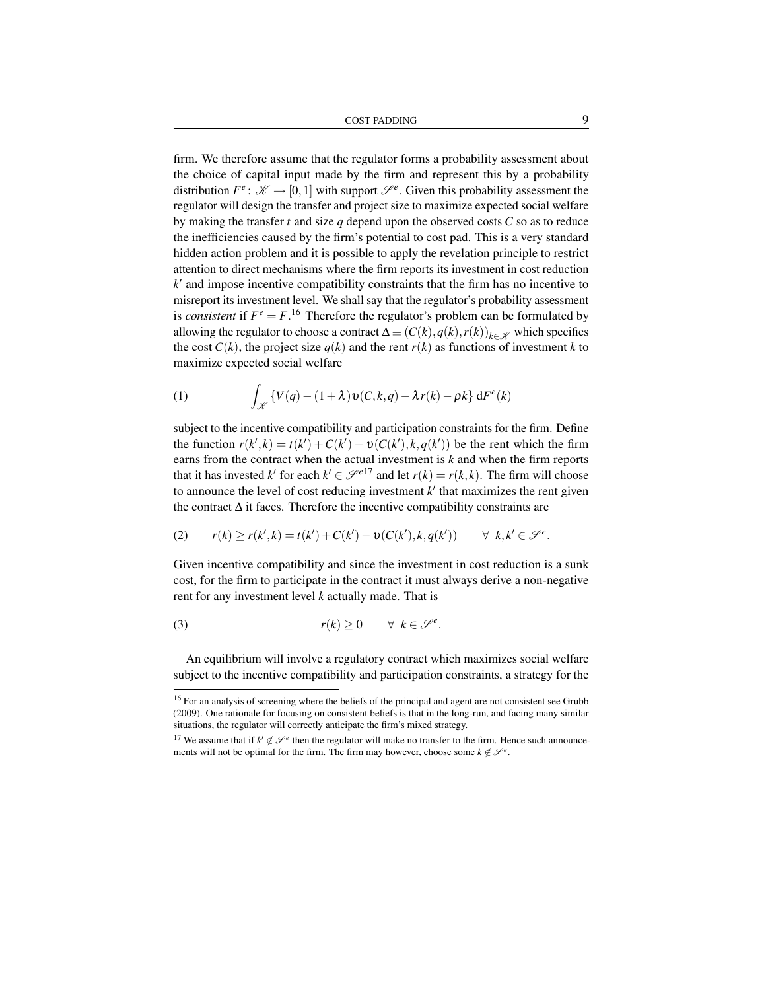firm. We therefore assume that the regulator forms a probability assessment about the choice of capital input made by the firm and represent this by a probability distribution  $F^e: \mathcal{K} \to [0,1]$  with support  $\mathcal{S}^e$ . Given this probability assessment the regulator will design the transfer and project size to maximize expected social welfare by making the transfer *t* and size *q* depend upon the observed costs *C* so as to reduce the inefficiencies caused by the firm's potential to cost pad. This is a very standard hidden action problem and it is possible to apply the revelation principle to restrict attention to direct mechanisms where the firm reports its investment in cost reduction  $k'$  and impose incentive compatibility constraints that the firm has no incentive to misreport its investment level. We shall say that the regulator's probability assessment is *consistent* if  $F^e = F$ .<sup>16</sup> Therefore the regulator's problem can be formulated by allowing the regulator to choose a contract  $\Delta = (C(k), q(k), r(k))_{k \in \mathcal{K}}$  which specifies the cost  $C(k)$ , the project size  $q(k)$  and the rent  $r(k)$  as functions of investment k to maximize expected social welfare

(1) 
$$
\int_{\mathscr{K}} \{V(q) - (1+\lambda)v(C,k,q) - \lambda r(k) - \rho k\} dF^{e}(k)
$$

subject to the incentive compatibility and participation constraints for the firm. Define the function  $r(k',k) = t(k') + C(k') - v(C(k'),k,q(k'))$  be the rent which the firm earns from the contract when the actual investment is *k* and when the firm reports that it has invested  $k'$  for each  $k' \in \mathcal{S}^{e17}$  and let  $r(k) = r(k, k)$ . The firm will choose to announce the level of cost reducing investment  $k'$  that maximizes the rent given the contract ∆ it faces. Therefore the incentive compatibility constraints are

$$
(2) \qquad r(k) \ge r(k',k) = t(k') + C(k') - \upsilon(C(k'),k,q(k')) \qquad \forall \ k,k' \in \mathcal{S}^e.
$$

Given incentive compatibility and since the investment in cost reduction is a sunk cost, for the firm to participate in the contract it must always derive a non-negative rent for any investment level *k* actually made. That is

(3) 
$$
r(k) \geq 0 \quad \forall \ k \in \mathscr{S}^e.
$$

An equilibrium will involve a regulatory contract which maximizes social welfare subject to the incentive compatibility and participation constraints, a strategy for the

<sup>&</sup>lt;sup>16</sup> For an analysis of screening where the beliefs of the principal and agent are not consistent see Grubb (2009). One rationale for focusing on consistent beliefs is that in the long-run, and facing many similar situations, the regulator will correctly anticipate the firm's mixed strategy.

<sup>&</sup>lt;sup>17</sup> We assume that if  $k' \notin \mathcal{S}^e$  then the regulator will make no transfer to the firm. Hence such announcements will not be optimal for the firm. The firm may however, choose some  $k \notin \mathcal{S}^e$ .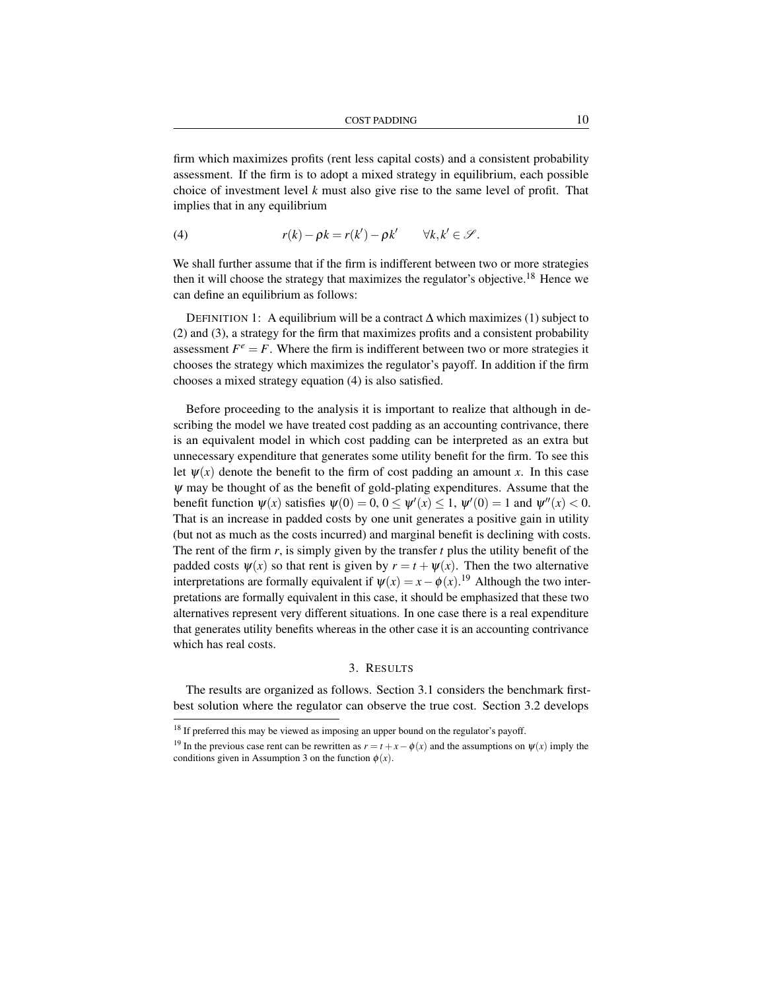firm which maximizes profits (rent less capital costs) and a consistent probability assessment. If the firm is to adopt a mixed strategy in equilibrium, each possible choice of investment level *k* must also give rise to the same level of profit. That implies that in any equilibrium

(4) 
$$
r(k) - \rho k = r(k') - \rho k' \quad \forall k, k' \in \mathcal{S}.
$$

We shall further assume that if the firm is indifferent between two or more strategies then it will choose the strategy that maximizes the regulator's objective.<sup>18</sup> Hence we can define an equilibrium as follows:

DEFINITION 1: A equilibrium will be a contract ∆ which maximizes (1) subject to (2) and (3), a strategy for the firm that maximizes profits and a consistent probability assessment  $F^e = F$ . Where the firm is indifferent between two or more strategies it chooses the strategy which maximizes the regulator's payoff. In addition if the firm chooses a mixed strategy equation (4) is also satisfied.

Before proceeding to the analysis it is important to realize that although in describing the model we have treated cost padding as an accounting contrivance, there is an equivalent model in which cost padding can be interpreted as an extra but unnecessary expenditure that generates some utility benefit for the firm. To see this let  $\psi(x)$  denote the benefit to the firm of cost padding an amount x. In this case  $\psi$  may be thought of as the benefit of gold-plating expenditures. Assume that the benefit function  $\psi(x)$  satisfies  $\psi(0) = 0, 0 \le \psi'(x) \le 1$ ,  $\psi'(0) = 1$  and  $\psi''(x) < 0$ . That is an increase in padded costs by one unit generates a positive gain in utility (but not as much as the costs incurred) and marginal benefit is declining with costs. The rent of the firm  $r$ , is simply given by the transfer  $t$  plus the utility benefit of the padded costs  $\psi(x)$  so that rent is given by  $r = t + \psi(x)$ . Then the two alternative interpretations are formally equivalent if  $\psi(x) = x - \phi(x)$ .<sup>19</sup> Although the two interpretations are formally equivalent in this case, it should be emphasized that these two alternatives represent very different situations. In one case there is a real expenditure that generates utility benefits whereas in the other case it is an accounting contrivance which has real costs.

## 3. RESULTS

The results are organized as follows. Section 3.1 considers the benchmark firstbest solution where the regulator can observe the true cost. Section 3.2 develops

<sup>&</sup>lt;sup>18</sup> If preferred this may be viewed as imposing an upper bound on the regulator's payoff.

<sup>&</sup>lt;sup>19</sup> In the previous case rent can be rewritten as  $r = t + x - \phi(x)$  and the assumptions on  $\psi(x)$  imply the conditions given in Assumption 3 on the function  $\phi(x)$ .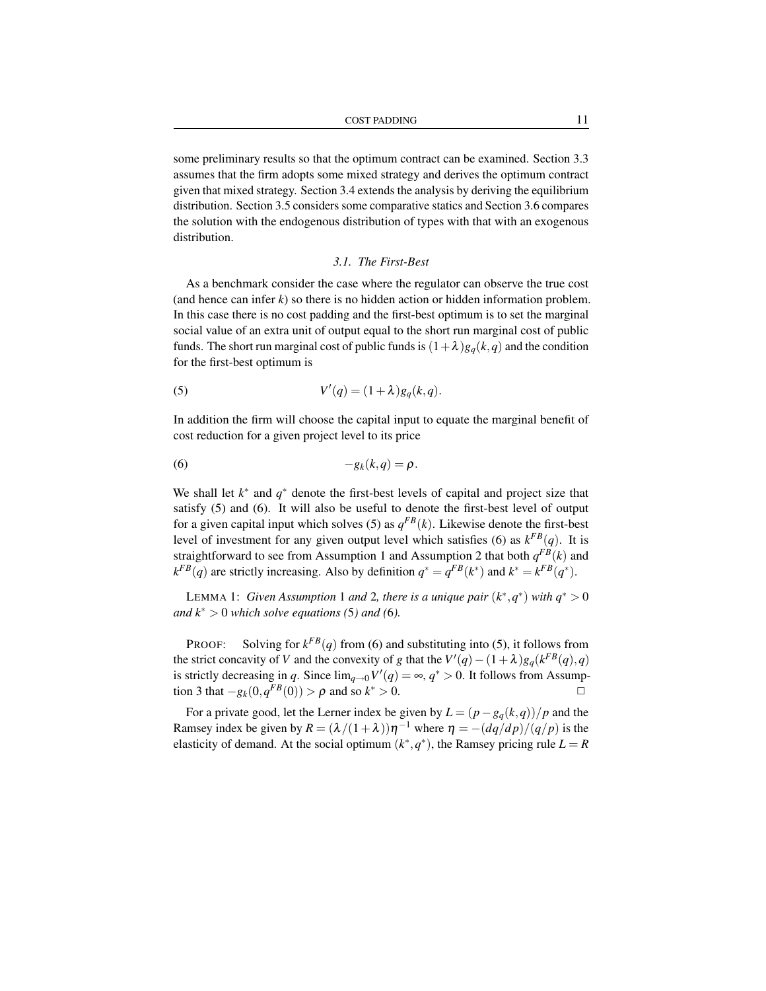some preliminary results so that the optimum contract can be examined. Section 3.3 assumes that the firm adopts some mixed strategy and derives the optimum contract given that mixed strategy. Section 3.4 extends the analysis by deriving the equilibrium distribution. Section 3.5 considers some comparative statics and Section 3.6 compares the solution with the endogenous distribution of types with that with an exogenous distribution.

#### *3.1. The First-Best*

As a benchmark consider the case where the regulator can observe the true cost (and hence can infer *k*) so there is no hidden action or hidden information problem. In this case there is no cost padding and the first-best optimum is to set the marginal social value of an extra unit of output equal to the short run marginal cost of public funds. The short run marginal cost of public funds is  $(1+\lambda)g_q(k,q)$  and the condition for the first-best optimum is

(5) 
$$
V'(q) = (1+\lambda)g_q(k,q).
$$

In addition the firm will choose the capital input to equate the marginal benefit of cost reduction for a given project level to its price

$$
(6) \t -g_k(k,q)=\rho.
$$

We shall let *k*<sup>∗</sup> and *q*<sup>∗</sup> denote the first-best levels of capital and project size that satisfy (5) and (6). It will also be useful to denote the first-best level of output for a given capital input which solves (5) as  $q^{FB}(k)$ . Likewise denote the first-best level of investment for any given output level which satisfies (6) as  $k^{FB}(q)$ . It is straightforward to see from Assumption 1 and Assumption 2 that both  $q^{FB}(k)$  and  $k^{FB}(q)$  are strictly increasing. Also by definition  $q^* = q^{FB}(k^*)$  and  $k^* = k^{FB}(q^*)$ .

LEMMA 1: *Given Assumption* 1 *and* 2, *there is a unique pair*  $(k^*, q^*)$  *with*  $q^* > 0$ *and*  $k^* > 0$  *which solve equations* (5*) and* (6*)*.

**PROOF:** Solving for  $k^{FB}(q)$  from (6) and substituting into (5), it follows from the strict concavity of *V* and the convexity of *g* that the  $V'(q) - (1 + \lambda)g_q(k^{FB}(q), q)$ is strictly decreasing in *q*. Since  $\lim_{q\to 0} V'(q) = \infty$ ,  $q^* > 0$ . It follows from Assumption 3 that  $-g_k(0, q^{FB}(0)) > \rho$  and so  $k^* > 0$ . <del></del>

For a private good, let the Lerner index be given by  $L = (p - g_q(k,q))/p$  and the Ramsey index be given by  $R = (\lambda/(1+\lambda))\eta^{-1}$  where  $\eta = -(dq/dp)/(q/p)$  is the elasticity of demand. At the social optimum  $(k^*, q^*)$ , the Ramsey pricing rule  $L = R$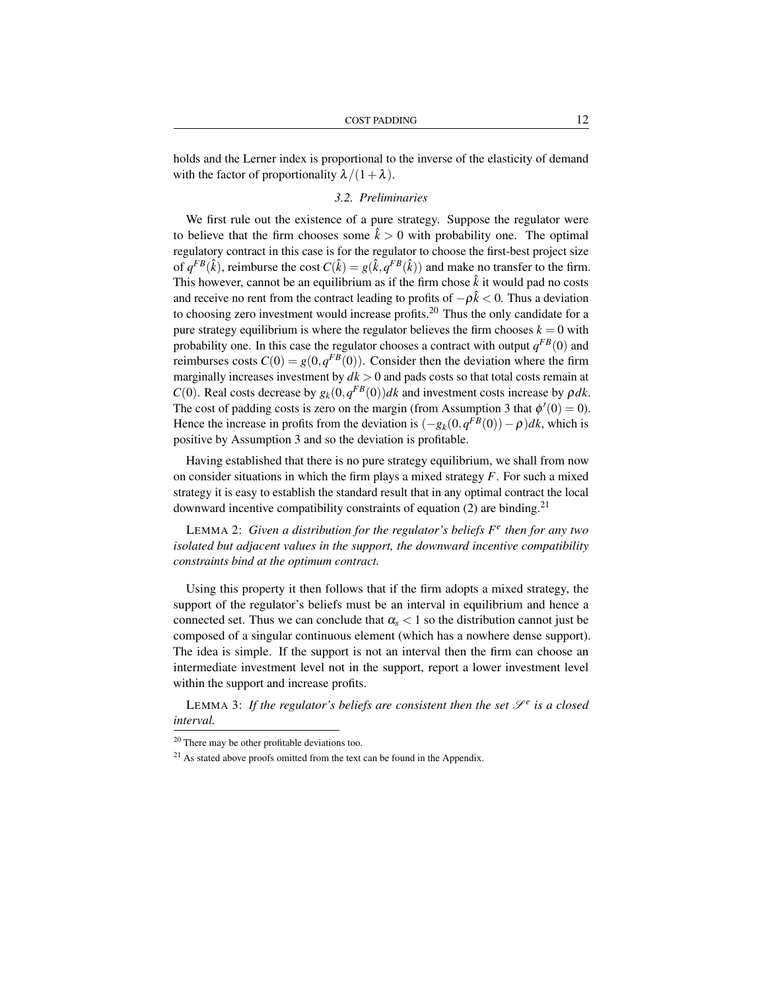holds and the Lerner index is proportional to the inverse of the elasticity of demand with the factor of proportionality  $\lambda/(1+\lambda)$ .

### *3.2. Preliminaries*

We first rule out the existence of a pure strategy. Suppose the regulator were to believe that the firm chooses some  $\hat{k} > 0$  with probability one. The optimal regulatory contract in this case is for the regulator to choose the first-best project size of  $q^{FB}(\hat{k})$ , reimburse the cost  $C(\hat{k}) = g(\hat{k}, q^{FB}(\hat{k}))$  and make no transfer to the firm. This however, cannot be an equilibrium as if the firm chose  $\hat{k}$  it would pad no costs and receive no rent from the contract leading to profits of  $-\rho \hat{k} < 0$ . Thus a deviation to choosing zero investment would increase profits.<sup>20</sup> Thus the only candidate for a pure strategy equilibrium is where the regulator believes the firm chooses  $k = 0$  with probability one. In this case the regulator chooses a contract with output  $q^{FB}(0)$  and reimburses costs  $C(0) = g(0, q^{FB}(0))$ . Consider then the deviation where the firm marginally increases investment by  $dk > 0$  and pads costs so that total costs remain at *C*(0). Real costs decrease by  $g_k(0, q^{FB}(0))dk$  and investment costs increase by  $\rho dk$ . The cost of padding costs is zero on the margin (from Assumption 3 that  $\phi'(0) = 0$ ). Hence the increase in profits from the deviation is  $(-g_k(0, q^{FB}(0)) - \rho)dk$ , which is positive by Assumption 3 and so the deviation is profitable.

Having established that there is no pure strategy equilibrium, we shall from now on consider situations in which the firm plays a mixed strategy *F*. For such a mixed strategy it is easy to establish the standard result that in any optimal contract the local downward incentive compatibility constraints of equation (2) are binding.<sup>21</sup>

LEMMA 2: *Given a distribution for the regulator's beliefs F e then for any two isolated but adjacent values in the support, the downward incentive compatibility constraints bind at the optimum contract.*

Using this property it then follows that if the firm adopts a mixed strategy, the support of the regulator's beliefs must be an interval in equilibrium and hence a connected set. Thus we can conclude that  $\alpha_s < 1$  so the distribution cannot just be composed of a singular continuous element (which has a nowhere dense support). The idea is simple. If the support is not an interval then the firm can choose an intermediate investment level not in the support, report a lower investment level within the support and increase profits.

LEMMA 3: If the regulator's beliefs are consistent then the set  $\mathscr{S}^e$  is a closed *interval.*

<sup>20</sup> There may be other profitable deviations too.

 $21$  As stated above proofs omitted from the text can be found in the Appendix.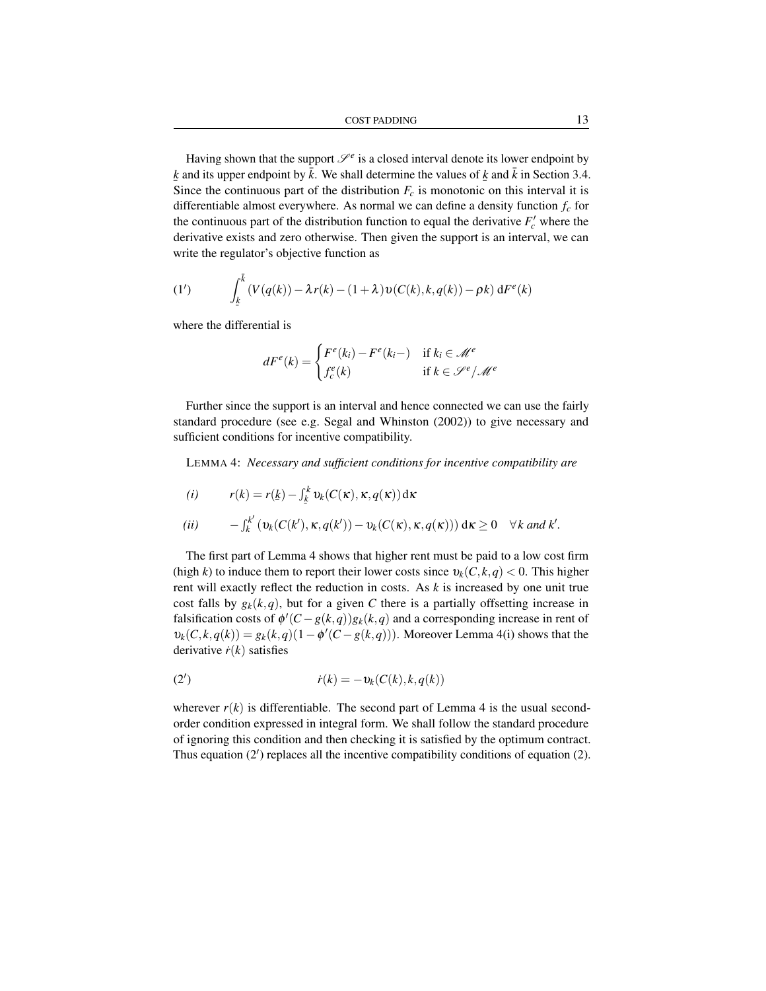Having shown that the support  $\mathcal{S}^e$  is a closed interval denote its lower endpoint by  $\sum_{i=1}^{n}$  and *h* is upper emperimently *n*<sup>1</sup> we shall determine the values of  $\frac{1}{2}$  and *h* in Section *evidence*.  $k$  and its upper endpoint by  $\bar{k}$ . We shall determine the values of  $k$  and  $\bar{k}$  in Section 3.4. differentiable almost everywhere. As normal we can define a density function *f<sup>c</sup>* for the continuous part of the distribution function to equal the derivative  $F_c'$  where the derivative exists and zero otherwise. Then given the support is an interval, we can write the regulator's objective function as

(1') 
$$
\int_{\underline{k}}^{\overline{k}} (V(q(k)) - \lambda r(k) - (1+\lambda) \nu(C(k), k, q(k)) - \rho k) dF^e(k)
$$

where the differential is

$$
dF^{e}(k) = \begin{cases} F^{e}(k_{i}) - F^{e}(k_{i}-) & \text{if } k_{i} \in \mathcal{M}^{e} \\ f_{c}^{e}(k) & \text{if } k \in \mathcal{S}^{e}/\mathcal{M}^{e} \end{cases}
$$

Further since the support is an interval and hence connected we can use the fairly standard procedure (see e.g. Segal and Whinston (2002)) to give necessary and sufficient conditions for incentive compatibility.

LEMMA 4: *Necessary and sufficient conditions for incentive compatibility are*

$$
(i) \t r(k) = r(\underline{k}) - \int_{\underline{k}}^{k} v_k(C(\kappa), \kappa, q(\kappa)) d\kappa
$$

$$
(ii) \qquad -\int_k^{k'} \left( \nu_k(C(k'), \kappa, q(k')) - \nu_k(C(\kappa), \kappa, q(\kappa)) \right) d\kappa \geq 0 \quad \forall k \text{ and } k'.
$$

The first part of Lemma 4 shows that higher rent must be paid to a low cost firm (high *k*) to induce them to report their lower costs since  $v_k(C, k, q) < 0$ . This higher rent will exactly reflect the reduction in costs. As *k* is increased by one unit true cost falls by  $g_k(k,q)$ , but for a given C there is a partially offsetting increase in falsification costs of  $\phi'(C - g(k, q))g_k(k, q)$  and a corresponding increase in rent of  $\nu_k(C, k, q(k)) = g_k(k, q)(1 - \phi'(C - g(k, q)))$ . Moreover Lemma 4(i) shows that the derivative  $\dot{r}(k)$  satisfies

$$
(2') \qquad \qquad \dot{r}(k) = -\nu_k(C(k), k, q(k))
$$

wherever  $r(k)$  is differentiable. The second part of Lemma 4 is the usual secondorder condition expressed in integral form. We shall follow the standard procedure of ignoring this condition and then checking it is satisfied by the optimum contract. Thus equation  $(2')$  replaces all the incentive compatibility conditions of equation  $(2)$ .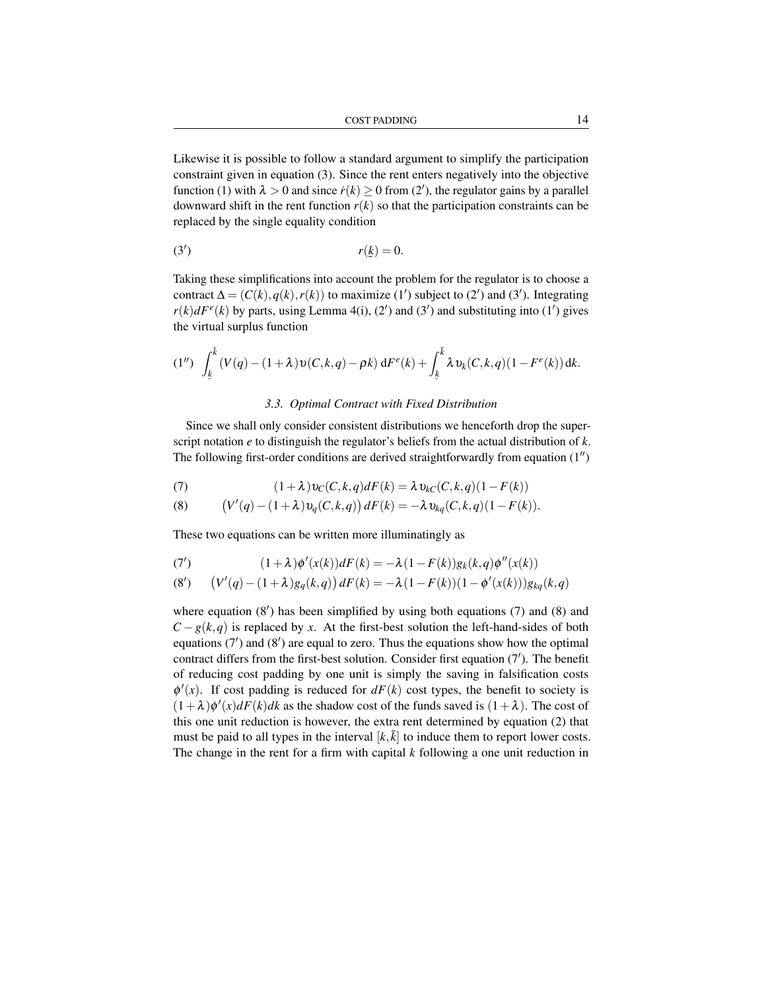Likewise it is possible to follow a standard argument to simplify the participation constraint given in equation (3). Since the rent enters negatively into the objective function (1) with  $\lambda > 0$  and since  $\dot{r}(k) \ge 0$  from (2'), the regulator gains by a parallel downward shift in the rent function  $r(k)$  so that the participation constraints can be replaced by the single equality condition

$$
r(\underline{k}) = 0.
$$

Taking these simplifications into account the problem for the regulator is to choose a contract  $\Delta = (C(k), q(k), r(k))$  to maximize (1') subject to (2') and (3'). Integrating  $r(k)dF<sup>e</sup>(k)$  by parts, using Lemma 4(i), (2') and (3') and substituting into (1') gives the virtual surplus function

$$
(1'') \int_{\underline{k}}^{\overline{k}} (V(q) - (1+\lambda) \nu(C, k, q) - \rho k) dF^{e}(k) + \int_{\underline{k}}^{\overline{k}} \lambda \nu_{k}(C, k, q) (1 - F^{e}(k)) dk.
$$

#### *3.3. Optimal Contract with Fixed Distribution*

Since we shall only consider consistent distributions we henceforth drop the superscript notation *e* to distinguish the regulator's beliefs from the actual distribution of *k*. The following first-order conditions are derived straightforwardly from equation  $(1'')$ 

(7) 
$$
(1+\lambda)v_C(C,k,q)dF(k) = \lambda v_{kC}(C,k,q)(1-F(k))
$$

(8) 
$$
(V'(q) - (1 + \lambda)v_q(C, k, q)) dF(k) = -\lambda v_{kq}(C, k, q)(1 - F(k)).
$$

These two equations can be written more illuminatingly as

(7') 
$$
(1+\lambda)\phi'(x(k))dF(k) = -\lambda(1-F(k))g_k(k,q)\phi''(x(k))
$$

$$
(8') \qquad (V'(q) - (1+\lambda)g_q(k,q)) dF(k) = -\lambda (1 - F(k))(1 - \phi'(x(k)))g_{kq}(k,q)
$$

where equation  $(8')$  has been simplified by using both equations  $(7)$  and  $(8)$  and  $C - g(k, q)$  is replaced by *x*. At the first-best solution the left-hand-sides of both equations  $(7')$  and  $(8')$  are equal to zero. Thus the equations show how the optimal contract differs from the first-best solution. Consider first equation (7'). The benefit of reducing cost padding by one unit is simply the saving in falsification costs  $\phi'(x)$ . If cost padding is reduced for  $dF(k)$  cost types, the benefit to society is  $(1 + \lambda)\phi'(x)dF(k)dk$  as the shadow cost of the funds saved is  $(1 + \lambda)$ . The cost of this one unit reduction is however, the extra rent determined by equation (2) that must be paid to all types in the interval  $[k,\bar{k}]$  to induce them to report lower costs. The change in the rent for a firm with capital *k* following a one unit reduction in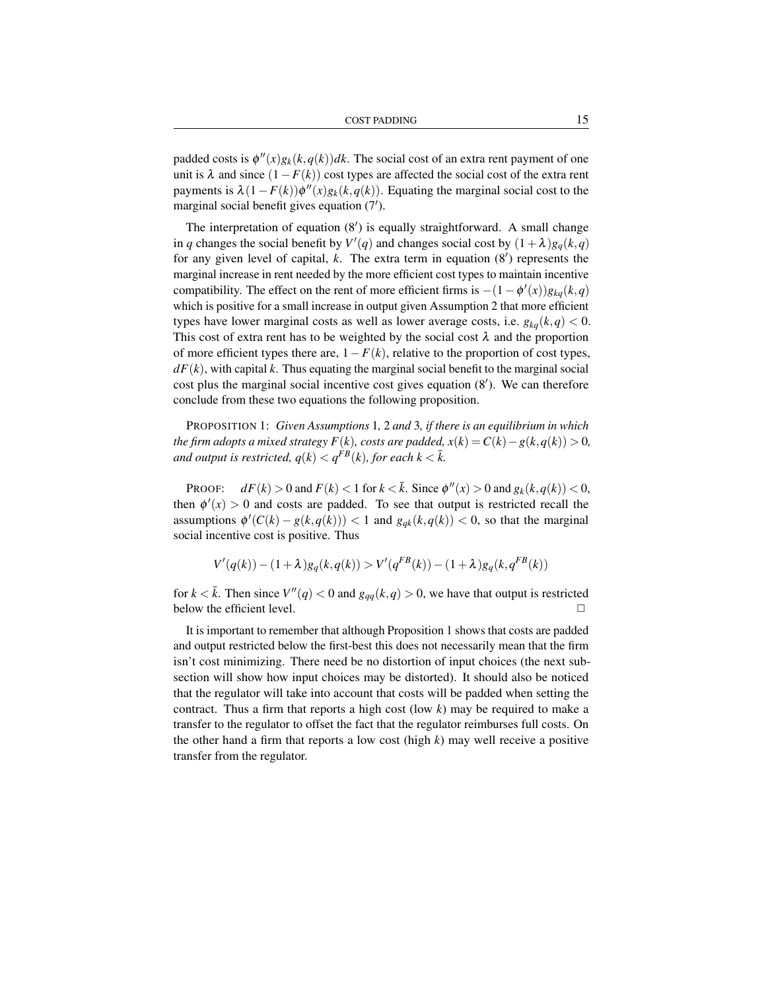padded costs is  $\phi''(x)g_k(k,q(k))dk$ . The social cost of an extra rent payment of one unit is  $\lambda$  and since  $(1 - F(k))$  cost types are affected the social cost of the extra rent payments is  $\lambda(1 - F(k))\phi''(x)g_k(k, q(k))$ . Equating the marginal social cost to the marginal social benefit gives equation  $(7')$ .

The interpretation of equation  $(8')$  is equally straightforward. A small change in *q* changes the social benefit by  $V'(q)$  and changes social cost by  $(1 + \lambda)g_q(k, q)$ for any given level of capital,  $k$ . The extra term in equation  $(8')$  represents the marginal increase in rent needed by the more efficient cost types to maintain incentive compatibility. The effect on the rent of more efficient firms is  $-(1 - \phi'(x))g_{kq}(k, q)$ which is positive for a small increase in output given Assumption 2 that more efficient types have lower marginal costs as well as lower average costs, i.e.  $g_{ka}(k,q) < 0$ . This cost of extra rent has to be weighted by the social cost  $\lambda$  and the proportion of more efficient types there are,  $1-F(k)$ , relative to the proportion of cost types,  $dF(k)$ , with capital k. Thus equating the marginal social benefit to the marginal social cost plus the marginal social incentive cost gives equation  $(8')$ . We can therefore conclude from these two equations the following proposition.

PROPOSITION 1: *Given Assumptions* 1*,* 2 *and* 3*, if there is an equilibrium in which the firm adopts a mixed strategy*  $F(k)$ *, costs are padded,*  $x(k) = C(k) - g(k, q(k)) > 0$ , *and output is restricted,*  $q(k) < q^{\overline{F}B}(k)$ *, for each k*  $<\bar{k}$ *.* 

PROOF:  $dF(k) > 0$  and  $F(k) < 1$  for  $k < \overline{k}$ . Since  $\phi''(x) > 0$  and  $g_k(k, q(k)) < 0$ , then  $\phi'(x) > 0$  and costs are padded. To see that output is restricted recall the assumptions  $\phi'(C(k) - g(k, q(k))) < 1$  and  $g_{qk}(k, q(k)) < 0$ , so that the marginal social incentive cost is positive. Thus

$$
V'(q(k)) - (1+\lambda)g_q(k,q(k)) > V'(q^{FB}(k)) - (1+\lambda)g_q(k,q^{FB}(k))
$$

for  $k < \bar{k}$ . Then since  $V''(q) < 0$  and  $g_{qq}(k,q) > 0$ , we have that output is restricted below the efficient level.  $\Box$ 

It is important to remember that although Proposition 1 shows that costs are padded and output restricted below the first-best this does not necessarily mean that the firm isn't cost minimizing. There need be no distortion of input choices (the next subsection will show how input choices may be distorted). It should also be noticed that the regulator will take into account that costs will be padded when setting the contract. Thus a firm that reports a high cost (low *k*) may be required to make a transfer to the regulator to offset the fact that the regulator reimburses full costs. On the other hand a firm that reports a low cost (high  $k$ ) may well receive a positive transfer from the regulator.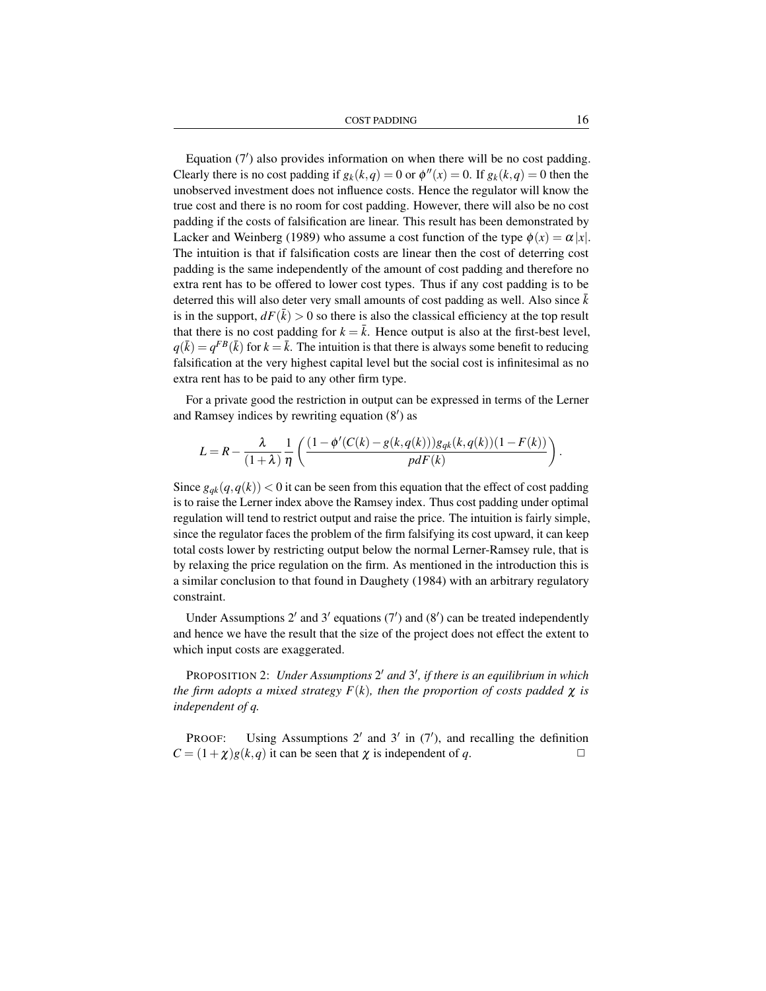Equation  $(7')$  also provides information on when there will be no cost padding. Clearly there is no cost padding if  $g_k(k,q) = 0$  or  $\phi''(x) = 0$ . If  $g_k(k,q) = 0$  then the unobserved investment does not influence costs. Hence the regulator will know the true cost and there is no room for cost padding. However, there will also be no cost padding if the costs of falsification are linear. This result has been demonstrated by Lacker and Weinberg (1989) who assume a cost function of the type  $\phi(x) = \alpha |x|$ . The intuition is that if falsification costs are linear then the cost of deterring cost padding is the same independently of the amount of cost padding and therefore no extra rent has to be offered to lower cost types. Thus if any cost padding is to be deterred this will also deter very small amounts of cost padding as well. Also since  $k$ is in the support,  $dF(\bar{k}) > 0$  so there is also the classical efficiency at the top result that there is no cost padding for  $k = \overline{k}$ . Hence output is also at the first-best level,  $q(\bar{k}) = q^{FB}(\bar{k})$  for  $k = \bar{k}$ . The intuition is that there is always some benefit to reducing falsification at the very highest capital level but the social cost is infinitesimal as no extra rent has to be paid to any other firm type.

For a private good the restriction in output can be expressed in terms of the Lerner and Ramsey indices by rewriting equation  $(8')$  as

$$
L=R-\frac{\lambda}{(1+\lambda)}\frac{1}{\eta}\left(\frac{(1-\phi'(C(k)-g(k,q(k)))g_{qk}(k,q(k))(1-F(k))}{pdF(k)}\right).
$$

Since  $g_{qk}(q, q(k))$  < 0 it can be seen from this equation that the effect of cost padding is to raise the Lerner index above the Ramsey index. Thus cost padding under optimal regulation will tend to restrict output and raise the price. The intuition is fairly simple, since the regulator faces the problem of the firm falsifying its cost upward, it can keep total costs lower by restricting output below the normal Lerner-Ramsey rule, that is by relaxing the price regulation on the firm. As mentioned in the introduction this is a similar conclusion to that found in Daughety (1984) with an arbitrary regulatory constraint.

Under Assumptions 2' and 3' equations  $(7')$  and  $(8')$  can be treated independently and hence we have the result that the size of the project does not effect the extent to which input costs are exaggerated.

PROPOSITION 2: *Under Assumptions* 2' and 3', if there is an equilibrium in which *the firm adopts a mixed strategy*  $F(k)$ *, then the proportion of costs padded*  $\chi$  *is independent of q.*

PROOF: Using Assumptions  $2'$  and  $3'$  in  $(7')$ , and recalling the definition  $C = (1 + \chi)g(k, q)$  it can be seen that  $\chi$  is independent of *q*.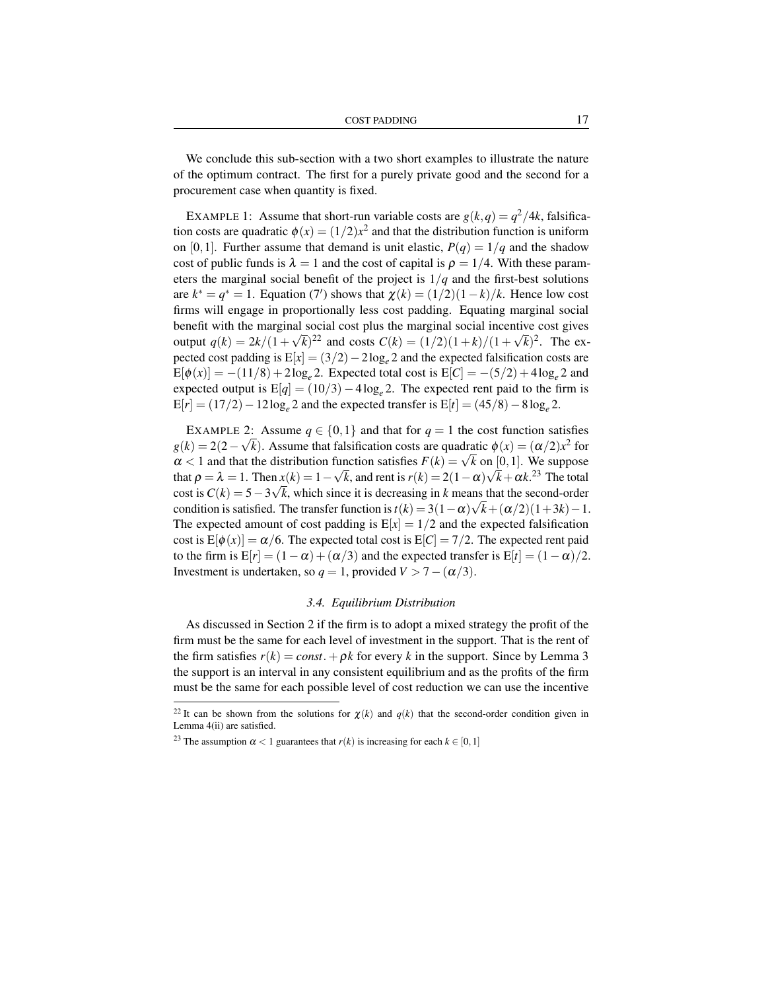We conclude this sub-section with a two short examples to illustrate the nature of the optimum contract. The first for a purely private good and the second for a procurement case when quantity is fixed.

EXAMPLE 1: Assume that short-run variable costs are  $g(k,q) = q^2/4k$ , falsification costs are quadratic  $\phi(x) = (1/2)x^2$  and that the distribution function is uniform on [0,1]. Further assume that demand is unit elastic,  $P(q) = 1/q$  and the shadow cost of public funds is  $\lambda = 1$  and the cost of capital is  $\rho = 1/4$ . With these parameters the marginal social benefit of the project is  $1/q$  and the first-best solutions are  $k^* = q^* = 1$ . Equation (7') shows that  $\chi(k) = (1/2)(1-k)/k$ . Hence low cost firms will engage in proportionally less cost padding. Equating marginal social benefit with the marginal social cost plus the marginal social incentive cost gives output  $q(k) = 2k/(1 + \sqrt{k})^{22}$  and costs  $C(k) = (1/2)(1 + k)/(1 + \sqrt{k})^2$ . The expected cost padding is E[*x*] = (3/2)−2log*<sup>e</sup>* 2 and the expected falsification costs are  $E[\phi(x)] = -(11/8) + 2\log_e 2$ . Expected total cost is  $E[C] = -(5/2) + 4\log_e 2$  and expected output is  $E[q] = (10/3) - 4 \log_e 2$ . The expected rent paid to the firm is  $E[r] = (17/2) - 12 \log_e 2$  and the expected transfer is  $E[t] = (45/8) - 8 \log_e 2$ .

EXAMPLE 2: Assume  $q \in \{0,1\}$  and that for  $q = 1$  the cost function satisfies  $g(k) = 2(2 - \sqrt{k})$ . Assume that falsification costs are quadratic  $\phi(x) = (\alpha/2)x^2$  for  $g(k) = 2(2 - \sqrt{k})$ . Assume that fluid function costs are quadratic  $\phi(x) = (\alpha/2)x^2$  for  $\alpha < 1$  and that the distribution function satisfies  $F(k) = \sqrt{k}$  on  $[0, 1]$ . We suppose that  $\rho = \lambda = 1$ . Then  $x(k) = 1 - \sqrt{k}$ , and rent is  $r(k) = 2(1 - \alpha)\sqrt{k} + \alpha k^{23}$  The total cost is  $C(k) = 5-3\sqrt{k}$ , which since it is decreasing in *k* means that the second-order condition is satisfied. The transfer function is  $t(k) = 3(1 - \alpha)\sqrt{k} + (\alpha/2)(1+3k) - 1$ . The expected amount of cost padding is  $E[x] = 1/2$  and the expected falsification cost is  $E[\phi(x)] = \alpha/6$ . The expected total cost is  $E[C] = \frac{7}{2}$ . The expected rent paid to the firm is  $E[r] = (1 - \alpha) + (\alpha/3)$  and the expected transfer is  $E[r] = (1 - \alpha)/2$ . Investment is undertaken, so  $q = 1$ , provided  $V > 7 - (\alpha/3)$ .

#### *3.4. Equilibrium Distribution*

As discussed in Section 2 if the firm is to adopt a mixed strategy the profit of the firm must be the same for each level of investment in the support. That is the rent of the firm satisfies  $r(k) = const. + \rho k$  for every k in the support. Since by Lemma 3 the support is an interval in any consistent equilibrium and as the profits of the firm must be the same for each possible level of cost reduction we can use the incentive

<sup>&</sup>lt;sup>22</sup> It can be shown from the solutions for  $\chi(k)$  and  $q(k)$  that the second-order condition given in Lemma 4(ii) are satisfied.

<sup>&</sup>lt;sup>23</sup> The assumption  $\alpha < 1$  guarantees that  $r(k)$  is increasing for each  $k \in [0,1]$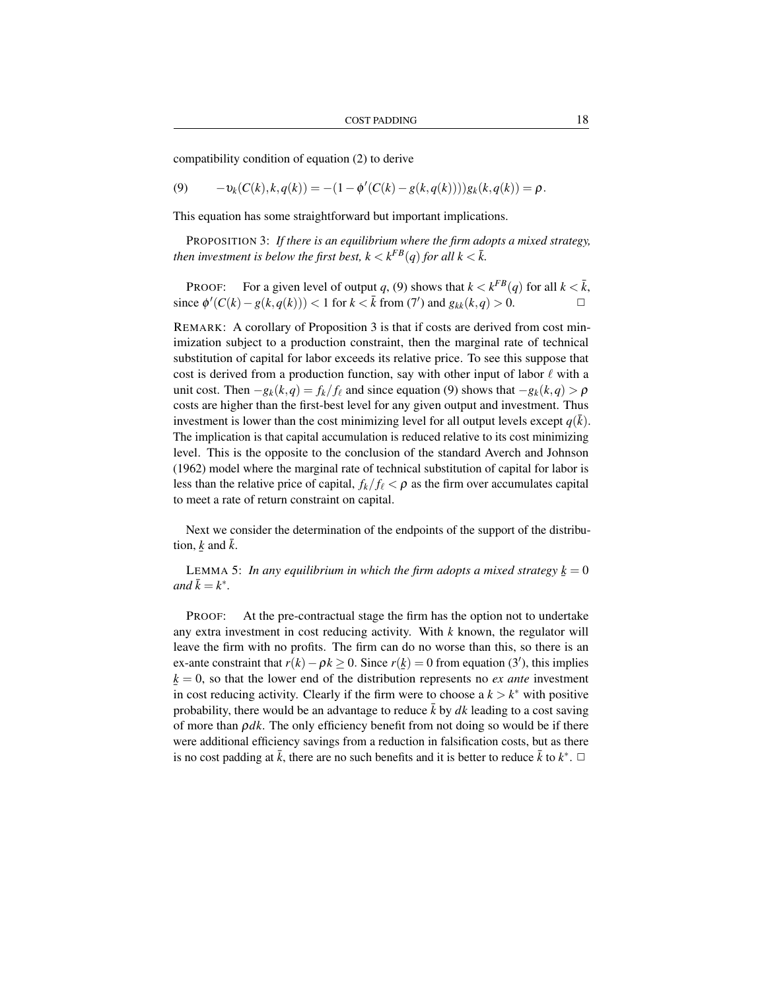compatibility condition of equation (2) to derive

(9) 
$$
-v_k(C(k),k,q(k)) = -(1 - \phi'(C(k) - g(k,q(k))))g_k(k,q(k)) = \rho.
$$

This equation has some straightforward but important implications.

PROPOSITION 3: *If there is an equilibrium where the firm adopts a mixed strategy, then investment is below the first best,*  $k < k^{FB}(q)$  *for all*  $k < \overline{k}$ *.* 

PROOF: For a given level of output *q*, (9) shows that  $k < k^{FB}(q)$  for all  $k < \overline{k}$ , since  $\phi'(C(k) - g(k, q(k)))$  < 1 for *k* <  $\bar{k}$  from (7') and  $g_{kk}(k, q) > 0$ . <br> □

REMARK: A corollary of Proposition 3 is that if costs are derived from cost minimization subject to a production constraint, then the marginal rate of technical substitution of capital for labor exceeds its relative price. To see this suppose that cost is derived from a production function, say with other input of labor  $\ell$  with a unit cost. Then  $-g_k(k,q) = f_k/f_\ell$  and since equation (9) shows that  $-g_k(k,q) > \rho$ costs are higher than the first-best level for any given output and investment. Thus investment is lower than the cost minimizing level for all output levels except  $q(\bar{k})$ . The implication is that capital accumulation is reduced relative to its cost minimizing level. This is the opposite to the conclusion of the standard Averch and Johnson (1962) model where the marginal rate of technical substitution of capital for labor is less than the relative price of capital,  $f_k/f_\ell < \rho$  as the firm over accumulates capital to meet a rate of return constraint on capital.

Next we consider the determination of the endpoints of the support of the distribution, <u> $\cancel{k}$ </u> and  $\cancel{\overline{k}}$ . ¯

LEMMA 5: *In any equilibrium in which the firm adopts a mixed strategy*  $\underline{k} = 0$ <br> $d \overline{k} = k^*$  $and \overline{k} = k^*$ .

PROOF: At the pre-contractual stage the firm has the option not to undertake any extra investment in cost reducing activity. With *k* known, the regulator will leave the firm with no profits. The firm can do no worse than this, so there is an ex-ante constraint that  $r(k) - \rho k \ge 0$ . Since  $r(\underline{k}) = 0$  from equation (3'), this implies  $k = 0$ , so that the lower end of the distribution represents no *ex ante* investment in cost reducing activity. Clearly if the firm were to choose  $a k > k^*$  with positive probability, there would be an advantage to reduce  $\bar{k}$  by  $dk$  leading to a cost saving of more than  $\rho dk$ . The only efficiency benefit from not doing so would be if there were additional efficiency savings from a reduction in falsification costs, but as there is no cost padding at  $\bar{k}$ , there are no such benefits and it is better to reduce  $\bar{k}$  to  $k^*$ .  $\Box$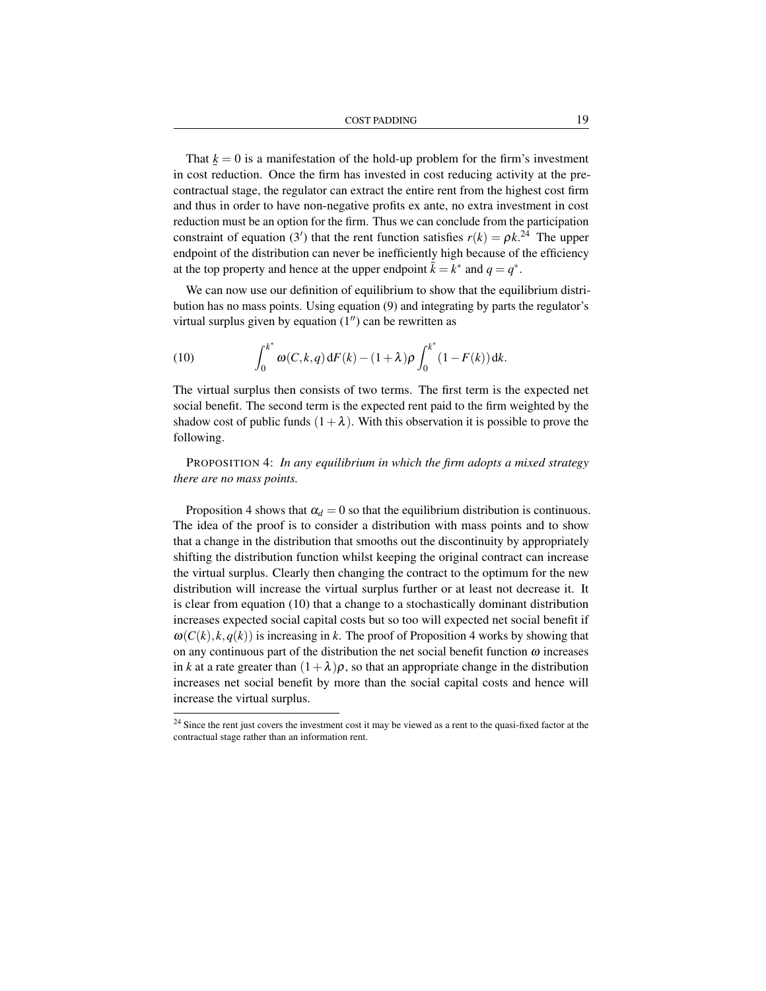That  $k = 0$  is a manifestation of the hold-up problem for the firm's investment in cost reduction. Once the firm has invested in cost reducing activity at the precontractual stage, the regulator can extract the entire rent from the highest cost firm and thus in order to have non-negative profits ex ante, no extra investment in cost reduction must be an option for the firm. Thus we can conclude from the participation constraint of equation (3') that the rent function satisfies  $r(k) = \rho k^{24}$  The upper endpoint of the distribution can never be inefficiently high because of the efficiency at the top property and hence at the upper endpoint  $\bar{k} = k^*$  and  $q = q^*$ .

We can now use our definition of equilibrium to show that the equilibrium distribution has no mass points. Using equation (9) and integrating by parts the regulator's virtual surplus given by equation  $(1'')$  can be rewritten as

(10) 
$$
\int_0^{k^*} \omega(C, k, q) dF(k) - (1 + \lambda) \rho \int_0^{k^*} (1 - F(k)) dk.
$$

The virtual surplus then consists of two terms. The first term is the expected net social benefit. The second term is the expected rent paid to the firm weighted by the shadow cost of public funds  $(1+\lambda)$ . With this observation it is possible to prove the following.

PROPOSITION 4: *In any equilibrium in which the firm adopts a mixed strategy there are no mass points.*

Proposition 4 shows that  $\alpha_d = 0$  so that the equilibrium distribution is continuous. The idea of the proof is to consider a distribution with mass points and to show that a change in the distribution that smooths out the discontinuity by appropriately shifting the distribution function whilst keeping the original contract can increase the virtual surplus. Clearly then changing the contract to the optimum for the new distribution will increase the virtual surplus further or at least not decrease it. It is clear from equation (10) that a change to a stochastically dominant distribution increases expected social capital costs but so too will expected net social benefit if  $\omega(C(k), k, q(k))$  is increasing in k. The proof of Proposition 4 works by showing that on any continuous part of the distribution the net social benefit function  $\omega$  increases in *k* at a rate greater than  $(1+\lambda)\rho$ , so that an appropriate change in the distribution increases net social benefit by more than the social capital costs and hence will increase the virtual surplus.

<sup>&</sup>lt;sup>24</sup> Since the rent just covers the investment cost it may be viewed as a rent to the quasi-fixed factor at the contractual stage rather than an information rent.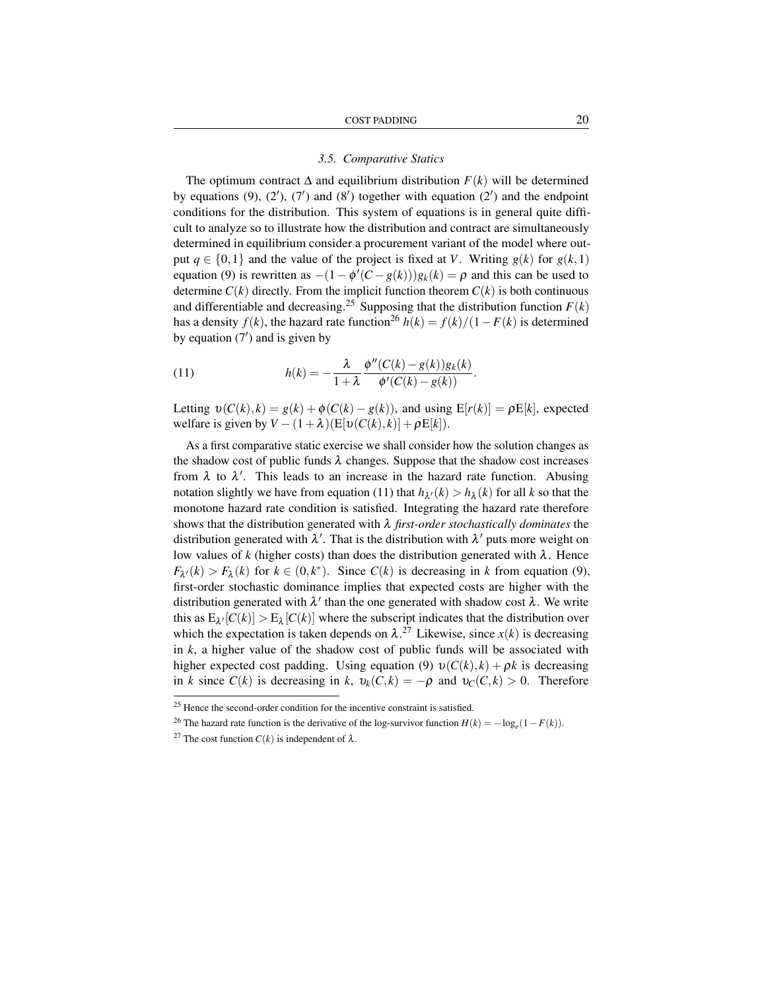#### *3.5. Comparative Statics*

The optimum contract  $\Delta$  and equilibrium distribution  $F(k)$  will be determined by equations  $(9)$ ,  $(2')$ ,  $(7')$  and  $(8')$  together with equation  $(2')$  and the endpoint conditions for the distribution. This system of equations is in general quite difficult to analyze so to illustrate how the distribution and contract are simultaneously determined in equilibrium consider a procurement variant of the model where output  $q \in \{0,1\}$  and the value of the project is fixed at *V*. Writing  $g(k)$  for  $g(k,1)$ equation (9) is rewritten as  $-(1 - \phi'(C - g(k)))g_k(k) = \rho$  and this can be used to determine  $C(k)$  directly. From the implicit function theorem  $C(k)$  is both continuous and differentiable and decreasing.<sup>25</sup> Supposing that the distribution function  $F(k)$ has a density  $f(k)$ , the hazard rate function<sup>26</sup>  $h(k) = f(k)/(1 - F(k))$  is determined by equation  $(7')$  and is given by

(11) 
$$
h(k) = -\frac{\lambda}{1+\lambda} \frac{\phi''(C(k)-g(k))g_k(k)}{\phi'(C(k)-g(k))}.
$$

Letting  $v(C(k), k) = g(k) + \phi(C(k) - g(k))$ , and using  $E[r(k)] = \rho E[k]$ , expected welfare is given by  $V - (1 + \lambda)(E[v(C(k), k)] + \rho E[k])$ .

As a first comparative static exercise we shall consider how the solution changes as the shadow cost of public funds  $\lambda$  changes. Suppose that the shadow cost increases from  $\lambda$  to  $\lambda'$ . This leads to an increase in the hazard rate function. Abusing notation slightly we have from equation (11) that  $h_{\lambda'}(k) > h_{\lambda}(k)$  for all *k* so that the monotone hazard rate condition is satisfied. Integrating the hazard rate therefore shows that the distribution generated with λ *first-order stochastically dominates* the distribution generated with  $\lambda'$ . That is the distribution with  $\lambda'$  puts more weight on low values of  $k$  (higher costs) than does the distribution generated with  $\lambda$ . Hence  $F_{\lambda'}(k) > F_{\lambda}(k)$  for  $k \in (0, k^*)$ . Since  $C(k)$  is decreasing in *k* from equation (9), first-order stochastic dominance implies that expected costs are higher with the distribution generated with  $\lambda'$  than the one generated with shadow cost  $\lambda$ . We write this as  $E_{\lambda'}[C(k)] > E_{\lambda}[C(k)]$  where the subscript indicates that the distribution over which the expectation is taken depends on  $\lambda$ .<sup>27</sup> Likewise, since  $x(k)$  is decreasing in *k*, a higher value of the shadow cost of public funds will be associated with higher expected cost padding. Using equation (9)  $v(C(k), k) + \rho k$  is decreasing in *k* since  $C(k)$  is decreasing in *k*,  $v_k(C, k) = -\rho$  and  $v_C(C, k) > 0$ . Therefore

<sup>&</sup>lt;sup>25</sup> Hence the second-order condition for the incentive constraint is satisfied.

<sup>&</sup>lt;sup>26</sup> The hazard rate function is the derivative of the log-survivor function  $H(k) = -\log_e(1 - F(k))$ .

<sup>&</sup>lt;sup>27</sup> The cost function  $C(k)$  is independent of  $\lambda$ .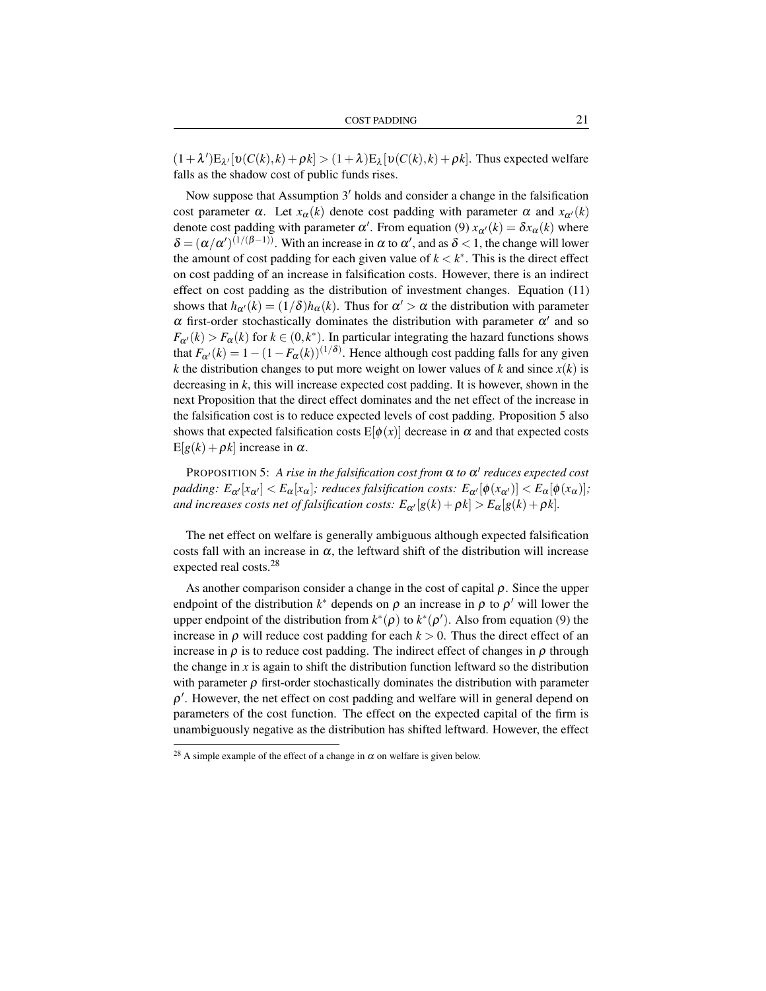$(1 + \lambda')E_{\lambda'}[v(C(k),k) + \rho k] > (1 + \lambda)E_{\lambda}[v(C(k),k) + \rho k]$ . Thus expected welfare falls as the shadow cost of public funds rises.

Now suppose that Assumption  $3'$  holds and consider a change in the falsification cost parameter  $\alpha$ . Let  $x_{\alpha}(k)$  denote cost padding with parameter  $\alpha$  and  $x_{\alpha}(k)$ denote cost padding with parameter  $\alpha'$ . From equation (9)  $x_{\alpha'}(k) = \delta x_{\alpha}(k)$  where  $\delta = (\alpha/\alpha')^{(1/(\beta-1))}$ . With an increase in  $\alpha$  to  $\alpha'$ , and as  $\delta < 1$ , the change will lower the amount of cost padding for each given value of  $k < k^*$ . This is the direct effect on cost padding of an increase in falsification costs. However, there is an indirect effect on cost padding as the distribution of investment changes. Equation (11) shows that  $h_{\alpha}(k) = (1/\delta)h_{\alpha}(k)$ . Thus for  $\alpha' > \alpha$  the distribution with parameter  $\alpha$  first-order stochastically dominates the distribution with parameter  $\alpha'$  and so  $F_{\alpha}(k) > F_{\alpha}(k)$  for  $k \in (0, k^*)$ . In particular integrating the hazard functions shows that  $F_{\alpha'}(k) = 1 - (1 - F_{\alpha}(k))^{(1/\delta)}$ . Hence although cost padding falls for any given *k* the distribution changes to put more weight on lower values of *k* and since  $x(k)$  is decreasing in *k*, this will increase expected cost padding. It is however, shown in the next Proposition that the direct effect dominates and the net effect of the increase in the falsification cost is to reduce expected levels of cost padding. Proposition 5 also shows that expected falsification costs  $E[\phi(x)]$  decrease in  $\alpha$  and that expected costs  $E[g(k) + \rho k]$  increase in  $\alpha$ .

PROPOSITION 5: A rise in the falsification cost from  $\alpha$  to  $\alpha'$  reduces expected cost *padding:*  $E_{\alpha'}[x_{\alpha'}] < E_{\alpha}[x_{\alpha}]$ ; *reduces falsification costs:*  $E_{\alpha'}[\phi(x_{\alpha'})] < E_{\alpha}[\phi(x_{\alpha})]$ ; *and increases costs net of falsification costs:*  $E_{\alpha'}[g(k) + \rho k] > E_{\alpha}[g(k) + \rho k]$ .

The net effect on welfare is generally ambiguous although expected falsification costs fall with an increase in  $\alpha$ , the leftward shift of the distribution will increase expected real costs.<sup>28</sup>

As another comparison consider a change in the cost of capital  $\rho$ . Since the upper endpoint of the distribution  $k^*$  depends on  $\rho$  an increase in  $\rho$  to  $\rho'$  will lower the upper endpoint of the distribution from  $k^*(\rho)$  to  $k^*(\rho')$ . Also from equation (9) the increase in  $\rho$  will reduce cost padding for each  $k > 0$ . Thus the direct effect of an increase in  $\rho$  is to reduce cost padding. The indirect effect of changes in  $\rho$  through the change in  $x$  is again to shift the distribution function leftward so the distribution with parameter  $\rho$  first-order stochastically dominates the distribution with parameter  $\rho'$ . However, the net effect on cost padding and welfare will in general depend on parameters of the cost function. The effect on the expected capital of the firm is unambiguously negative as the distribution has shifted leftward. However, the effect

<sup>&</sup>lt;sup>28</sup> A simple example of the effect of a change in  $\alpha$  on welfare is given below.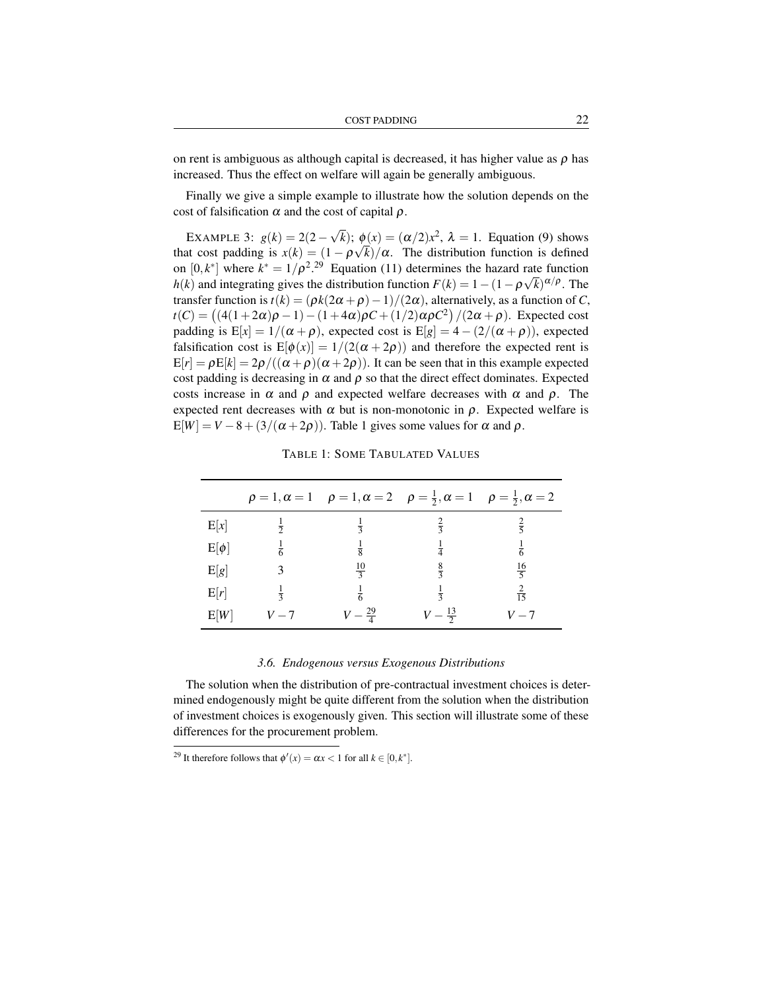on rent is ambiguous as although capital is decreased, it has higher value as  $\rho$  has increased. Thus the effect on welfare will again be generally ambiguous.

Finally we give a simple example to illustrate how the solution depends on the cost of falsification  $\alpha$  and the cost of capital  $\rho$ .

EXAMPLE 3:  $g(k) = 2(2 -$ √  $\overline{k}$ ;  $\phi(x) = (\alpha/2)x^2$ ,  $\lambda = 1$ . Equation (9) shows that cost padding is  $x(k) = (1 - \rho \sqrt{k})/\alpha$ . The distribution function is defined on  $[0, k^*]$  where  $k^* = 1/\rho^2$ .<sup>29</sup> Equation (11) determines the hazard rate function *h*(*k*) and integrating gives the distribution function  $F(k) = 1 - (1 - \rho \sqrt{k})^{\alpha/\rho}$ . The transfer function is  $t(k) = (\rho k(2\alpha + \rho) - 1)/(2\alpha)$ , alternatively, as a function of *C*, *t*(*C*) = ((4(1+2α)ρ − 1) − (1+4α)ρ*C* + (1/2)αρ*C*<sup>2</sup>)/(2α + ρ). Expected cost padding is  $E[x] = 1/(\alpha + \rho)$ , expected cost is  $E[g] = 4 - (2/(\alpha + \rho))$ , expected falsification cost is  $E[\phi(x)] = 1/(2(\alpha + 2\rho))$  and therefore the expected rent is  $E[r] = \rho E[k] = 2\rho/((\alpha + \rho)(\alpha + 2\rho))$ . It can be seen that in this example expected cost padding is decreasing in  $\alpha$  and  $\rho$  so that the direct effect dominates. Expected costs increase in  $\alpha$  and  $\rho$  and expected welfare decreases with  $\alpha$  and  $\rho$ . The expected rent decreases with  $\alpha$  but is non-monotonic in  $\rho$ . Expected welfare is  $E[W] = V - 8 + (3/(\alpha + 2\rho))$ . Table 1 gives some values for  $\alpha$  and  $\rho$ .

|           |               |                    | $\rho = 1, \alpha = 1$ $\rho = 1, \alpha = 2$ $\rho = \frac{1}{2}, \alpha = 1$ $\rho = \frac{1}{2}, \alpha = 2$ |                |
|-----------|---------------|--------------------|-----------------------------------------------------------------------------------------------------------------|----------------|
| E[x]      | $rac{1}{2}$   | $\frac{1}{3}$      | $rac{2}{3}$                                                                                                     | $rac{2}{5}$    |
| $E[\phi]$ | $\frac{1}{6}$ | $\frac{1}{8}$      | $\frac{1}{4}$                                                                                                   | $\frac{1}{6}$  |
| E[g]      |               | $\frac{10}{3}$     | $\frac{8}{3}$                                                                                                   | $\frac{16}{5}$ |
| E[r]      | $\frac{1}{3}$ | $\frac{1}{6}$      | $\frac{1}{3}$                                                                                                   | $rac{2}{15}$   |
| E[W]      | $V - 7$       | $V - \frac{29}{4}$ | $V - \frac{13}{2}$                                                                                              | $V-7$          |

TABLE 1: SOME TABULATED VALUES

#### *3.6. Endogenous versus Exogenous Distributions*

The solution when the distribution of pre-contractual investment choices is determined endogenously might be quite different from the solution when the distribution of investment choices is exogenously given. This section will illustrate some of these differences for the procurement problem.

<sup>&</sup>lt;sup>29</sup> It therefore follows that  $\phi'(x) = \alpha x < 1$  for all  $k \in [0, k^*]$ .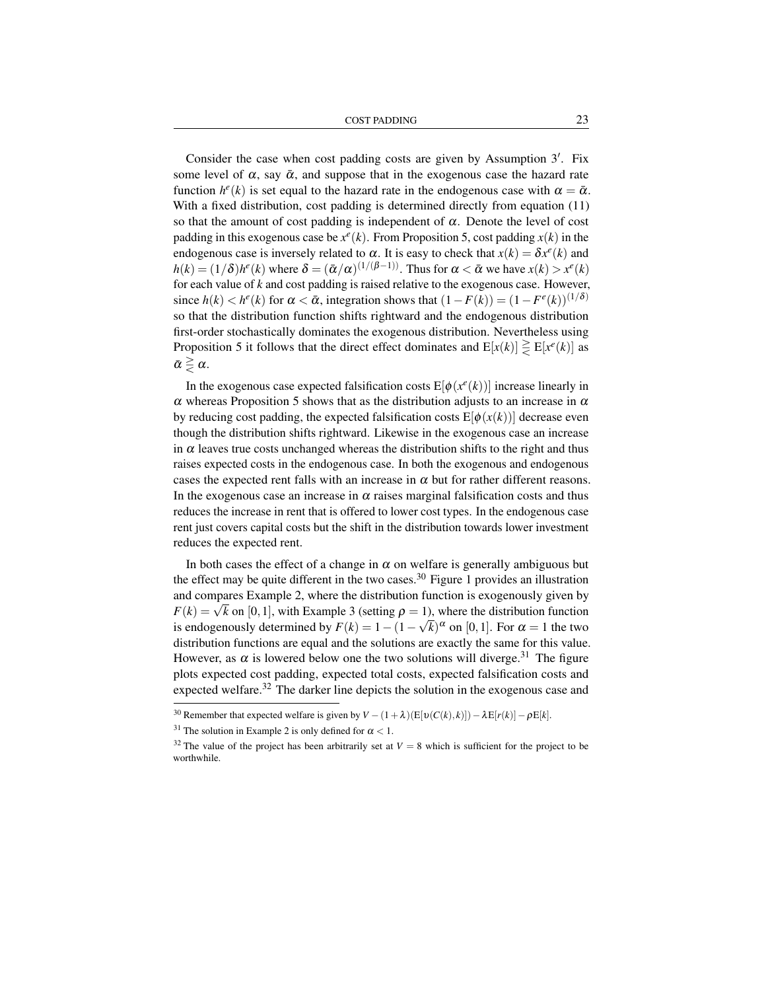COST PADDING 23

Consider the case when cost padding costs are given by Assumption 3'. Fix some level of  $\alpha$ , say  $\bar{\alpha}$ , and suppose that in the exogenous case the hazard rate function  $h^e(k)$  is set equal to the hazard rate in the endogenous case with  $\alpha = \bar{\alpha}$ . With a fixed distribution, cost padding is determined directly from equation (11) so that the amount of cost padding is independent of  $\alpha$ . Denote the level of cost padding in this exogenous case be  $x^e(k)$ . From Proposition 5, cost padding  $x(k)$  in the endogenous case is inversely related to  $\alpha$ . It is easy to check that  $x(k) = \delta x^e(k)$  and  $h(k) = (1/\delta)h^e(k)$  where  $\delta = (\bar{\alpha}/\alpha)^{(1/(\beta-1))}$ . Thus for  $\alpha < \bar{\alpha}$  we have  $x(k) > x^e(k)$ for each value of *k* and cost padding is raised relative to the exogenous case. However, since  $h(k) < h^e(k)$  for  $\alpha < \bar{\alpha}$ , integration shows that  $(1 - F(k)) = (1 - F^e(k))^{(1/\delta)}$ so that the distribution function shifts rightward and the endogenous distribution first-order stochastically dominates the exogenous distribution. Nevertheless using Proposition 5 it follows that the direct effect dominates and  $E[x(k)] \geq E[x^{e}(k)]$  as  $\bar{\alpha} \geq \alpha$ .

In the exogenous case expected falsification costs  $E[\phi(x^e(k))]$  increase linearly in  $\alpha$  whereas Proposition 5 shows that as the distribution adjusts to an increase in  $\alpha$ by reducing cost padding, the expected falsification costs  $E[\phi(x(k))]$  decrease even though the distribution shifts rightward. Likewise in the exogenous case an increase in  $\alpha$  leaves true costs unchanged whereas the distribution shifts to the right and thus raises expected costs in the endogenous case. In both the exogenous and endogenous cases the expected rent falls with an increase in  $\alpha$  but for rather different reasons. In the exogenous case an increase in  $\alpha$  raises marginal falsification costs and thus reduces the increase in rent that is offered to lower cost types. In the endogenous case rent just covers capital costs but the shift in the distribution towards lower investment reduces the expected rent.

In both cases the effect of a change in  $\alpha$  on welfare is generally ambiguous but the effect may be quite different in the two cases.<sup>30</sup> Figure 1 provides an illustration and compares Example 2, where the distribution function is exogenously given by and compares Example 2, where the distribution function is exogenously given by  $F(k) = \sqrt{k}$  on [0, 1], with Example 3 (setting  $\rho = 1$ ), where the distribution function is endogenously determined by  $F(k) = 1 - (1 - \sqrt{k})^{\alpha}$  on [0,1]. For  $\alpha = 1$  the two distribution functions are equal and the solutions are exactly the same for this value. However, as  $\alpha$  is lowered below one the two solutions will diverge.<sup>31</sup> The figure plots expected cost padding, expected total costs, expected falsification costs and expected welfare.<sup>32</sup> The darker line depicts the solution in the exogenous case and

<sup>&</sup>lt;sup>30</sup> Remember that expected welfare is given by  $V - (1 + \lambda)(E[v(C(k), k)]) - \lambda E[r(k)] - \rho E[k].$ 

<sup>&</sup>lt;sup>31</sup> The solution in Example 2 is only defined for  $\alpha < 1$ .

<sup>&</sup>lt;sup>32</sup> The value of the project has been arbitrarily set at  $V = 8$  which is sufficient for the project to be worthwhile.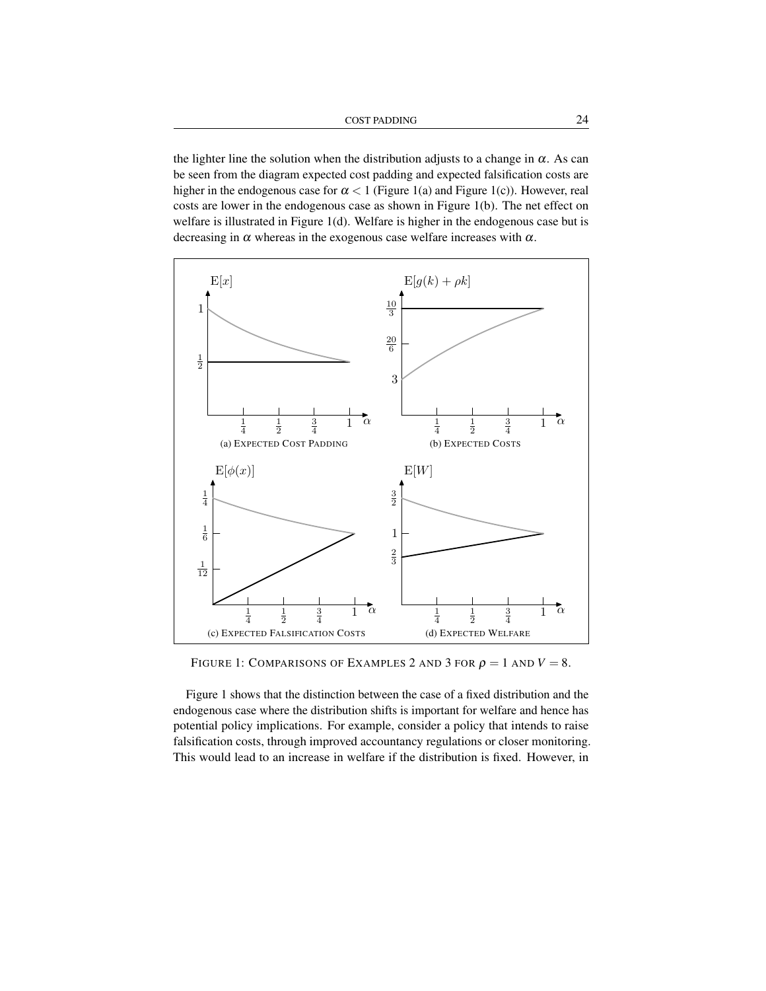COST PADDING 24

the lighter line the solution when the distribution adjusts to a change in  $\alpha$ . As can be seen from the diagram expected cost padding and expected falsification costs are higher in the endogenous case for  $\alpha < 1$  (Figure 1(a) and Figure 1(c)). However, real costs are lower in the endogenous case as shown in Figure 1(b). The net effect on welfare is illustrated in Figure 1(d). Welfare is higher in the endogenous case but is decreasing in  $\alpha$  whereas in the exogenous case welfare increases with  $\alpha$ .



FIGURE 1: COMPARISONS OF EXAMPLES 2 AND 3 FOR  $\rho = 1$  AND  $V = 8$ .

Figure 1 shows that the distinction between the case of a fixed distribution and the endogenous case where the distribution shifts is important for welfare and hence has potential policy implications. For example, consider a policy that intends to raise falsification costs, through improved accountancy regulations or closer monitoring. This would lead to an increase in welfare if the distribution is fixed. However, in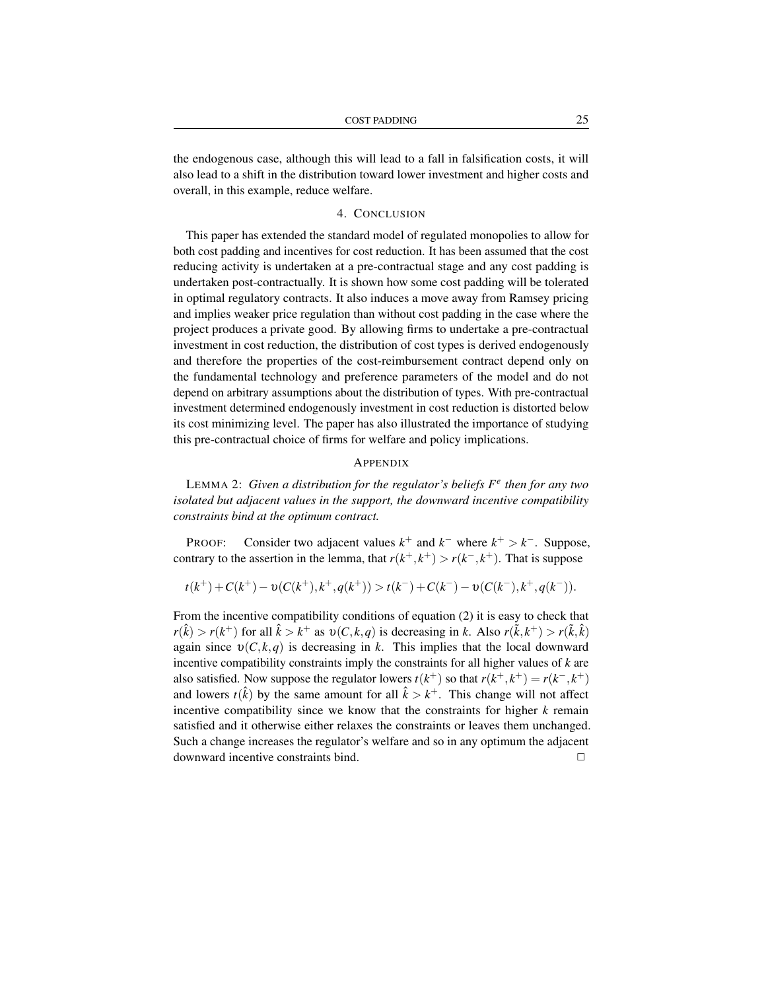the endogenous case, although this will lead to a fall in falsification costs, it will also lead to a shift in the distribution toward lower investment and higher costs and overall, in this example, reduce welfare.

#### 4. CONCLUSION

This paper has extended the standard model of regulated monopolies to allow for both cost padding and incentives for cost reduction. It has been assumed that the cost reducing activity is undertaken at a pre-contractual stage and any cost padding is undertaken post-contractually. It is shown how some cost padding will be tolerated in optimal regulatory contracts. It also induces a move away from Ramsey pricing and implies weaker price regulation than without cost padding in the case where the project produces a private good. By allowing firms to undertake a pre-contractual investment in cost reduction, the distribution of cost types is derived endogenously and therefore the properties of the cost-reimbursement contract depend only on the fundamental technology and preference parameters of the model and do not depend on arbitrary assumptions about the distribution of types. With pre-contractual investment determined endogenously investment in cost reduction is distorted below its cost minimizing level. The paper has also illustrated the importance of studying this pre-contractual choice of firms for welfare and policy implications.

### APPENDIX

LEMMA 2: *Given a distribution for the regulator's beliefs F e then for any two isolated but adjacent values in the support, the downward incentive compatibility constraints bind at the optimum contract.*

PROOF: Consider two adjacent values  $k^+$  and  $k^-$  where  $k^+ > k^-$ . Suppose, contrary to the assertion in the lemma, that  $r(k^+, k^+) > r(k^-, k^+)$ . That is suppose

$$
t(k^+)+C(k^+)-\upsilon(C(k^+),k^+,q(k^+))>t(k^-)+C(k^-)-\upsilon(C(k^-),k^+,q(k^-)).
$$

From the incentive compatibility conditions of equation (2) it is easy to check that  $r(\hat{k}) > r(k^+)$  for all  $\hat{k} > k^+$  as  $v(C, k, q)$  is decreasing in *k*. Also  $r(\tilde{k}, k^+) > r(\tilde{k}, \hat{k})$ again since  $v(C, k, q)$  is decreasing in *k*. This implies that the local downward incentive compatibility constraints imply the constraints for all higher values of *k* are also satisfied. Now suppose the regulator lowers  $t(k^+)$  so that  $r(k^+, k^+) = r(k^-, k^+)$ and lowers  $t(\hat{k})$  by the same amount for all  $\hat{k} > k^+$ . This change will not affect incentive compatibility since we know that the constraints for higher  $k$  remain satisfied and it otherwise either relaxes the constraints or leaves them unchanged. Such a change increases the regulator's welfare and so in any optimum the adjacent  $downward$  incentive constraints bind.  $\Box$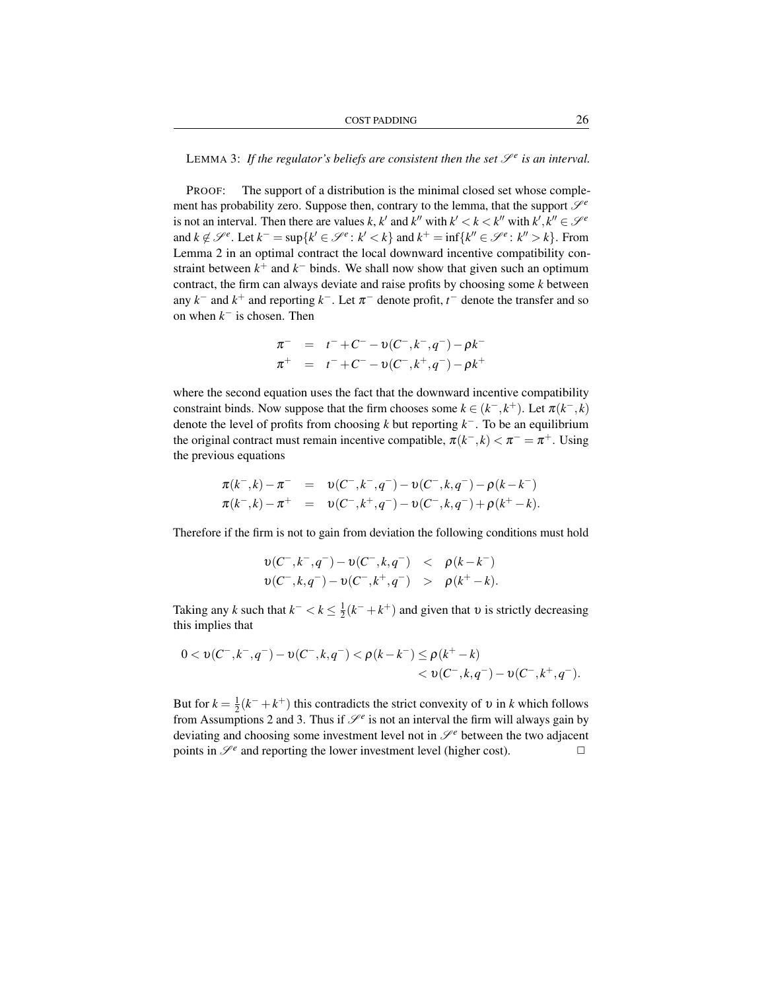LEMMA 3: If the regulator's beliefs are consistent then the set  $\mathscr{S}^e$  is an interval.

PROOF: The support of a distribution is the minimal closed set whose complement has probability zero. Suppose then, contrary to the lemma, that the support  $\mathcal{S}^e$ is not an interval. Then there are values *k*, *k*<sup>*'*</sup> and *k*<sup>*''*</sup> with  $k' < k < k'$ <sup>*''*</sup> with  $k', k'' \in \mathcal{S}^e$ and  $k \notin \mathcal{S}^e$ . Let  $k^- = \sup\{k' \in \mathcal{S}^e : k' < k\}$  and  $k^+ = \inf\{k'' \in \mathcal{S}^e : k'' > k\}$ . From Lemma 2 in an optimal contract the local downward incentive compatibility constraint between  $k^+$  and  $k^-$  binds. We shall now show that given such an optimum contract, the firm can always deviate and raise profits by choosing some *k* between any  $k^-$  and  $k^+$  and reporting  $k^-$ . Let  $\pi^-$  denote profit,  $t^-$  denote the transfer and so on when  $k^-$  is chosen. Then

$$
\begin{array}{rcl}\n\pi^- & = & t^- + C^- - \upsilon(C^-, k^-, q^-) - \rho k^- \\
\pi^+ & = & t^- + C^- - \upsilon(C^-, k^+, q^-) - \rho k^+\n\end{array}
$$

where the second equation uses the fact that the downward incentive compatibility constraint binds. Now suppose that the firm chooses some  $k \in (k^-, k^+)$ . Let  $\pi(k^-, k)$ denote the level of profits from choosing  $k$  but reporting  $k^-$ . To be an equilibrium the original contract must remain incentive compatible,  $\pi(k^{-}, k) < \pi^{-} = \pi^{+}$ . Using the previous equations

$$
\pi(k^-,k) - \pi^- = \upsilon(C^-,k^-,q^-) - \upsilon(C^-,k,q^-) - \rho(k-k^-) \n\pi(k^-,k) - \pi^+ = \upsilon(C^-,k^+,q^-) - \upsilon(C^-,k,q^-) + \rho(k^+-k).
$$

Therefore if the firm is not to gain from deviation the following conditions must hold

$$
\begin{array}{lcl} v(C^-,k^-,q^-)-v(C^-,k,q^-) & < & \rho(k-k^-) \\ v(C^-,k,q^-)-v(C^-,k^+,q^-) & > & \rho(k^+-k). \end{array}
$$

Taking any *k* such that  $k^- < k \leq \frac{1}{2}(k^- + k^+)$  and given that  $v$  is strictly decreasing this implies that

$$
\begin{aligned} 0 < \upsilon(C^-,k^-,q^-)-\upsilon(C^-,k,q^-) < \rho(k-k^-) \leq \rho(k^+-k) \\ < \upsilon(C^-,k,q^-)-\upsilon(C^-,k^+,q^-). \end{aligned}
$$

But for  $k = \frac{1}{2}(k^- + k^+)$  this contradicts the strict convexity of  $v$  in  $k$  which follows from Assumptions 2 and 3. Thus if  $\mathcal{S}^e$  is not an interval the firm will always gain by deviating and choosing some investment level not in  $\mathcal{S}^e$  between the two adjacent points in  $\mathcal{S}^e$  and reporting the lower investment level (higher cost).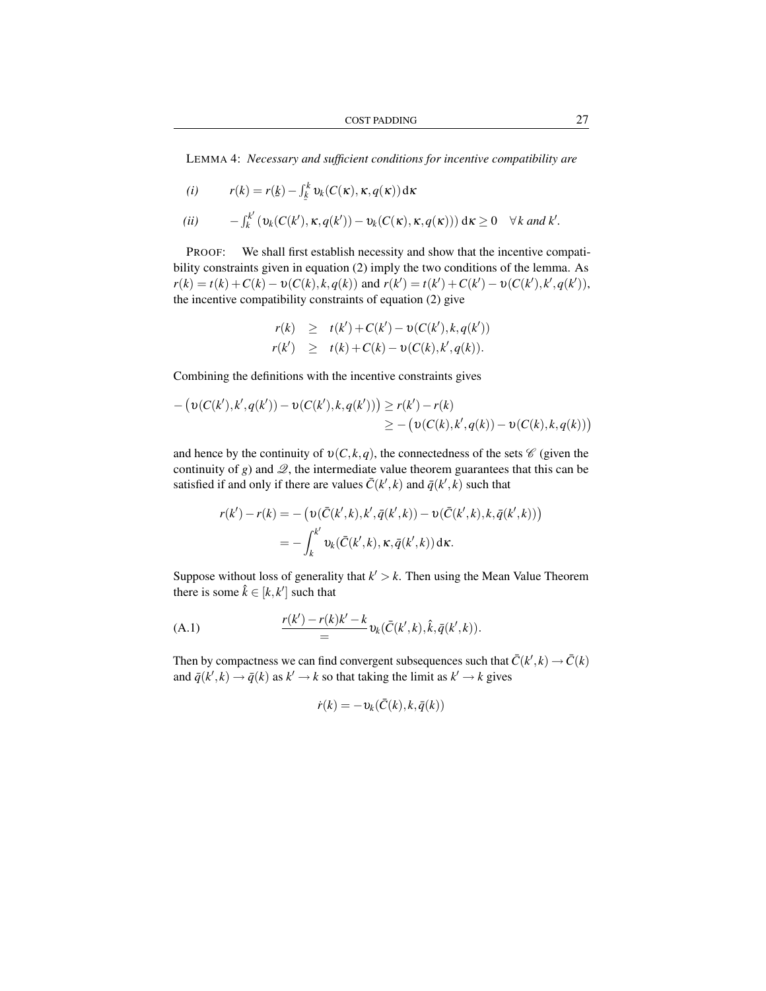LEMMA 4: *Necessary and sufficient conditions for incentive compatibility are*

$$
(i) \t r(k) = r(\underline{k}) - \int_{\underline{k}}^{k} v_k(C(\kappa), \kappa, q(\kappa)) d\kappa
$$

$$
(ii) \qquad -\int_k^{k'} \left( \nu_k(C(k'), \kappa, q(k')) - \nu_k(C(\kappa), \kappa, q(\kappa)) \right) d\kappa \geq 0 \quad \forall k \text{ and } k'.
$$

PROOF: We shall first establish necessity and show that the incentive compatibility constraints given in equation (2) imply the two conditions of the lemma. As  $r(k) = t(k) + C(k) - \upsilon(C(k), k, q(k))$  and  $r(k') = t(k') + C(k') - \upsilon(C(k'), k', q(k')),$ the incentive compatibility constraints of equation (2) give

$$
r(k) \geq t(k') + C(k') - \upsilon(C(k'), k, q(k')) \n r(k') \geq t(k) + C(k) - \upsilon(C(k), k', q(k)).
$$

Combining the definitions with the incentive constraints gives

$$
- (v(C(k'), k', q(k')) - v(C(k'), k, q(k'))) \ge r(k') - r(k)
$$
  

$$
\ge - (v(C(k), k', q(k)) - v(C(k), k, q(k)))
$$

and hence by the continuity of  $v(C, k, q)$ , the connectedness of the sets  $\mathscr C$  (given the continuity of *g*) and  $\mathcal{Q}$ , the intermediate value theorem guarantees that this can be satisfied if and only if there are values  $\bar{C}(k',k)$  and  $\bar{q}(k',k)$  such that

$$
r(k') - r(k) = -\left(\upsilon(\bar{C}(k',k), k', \bar{q}(k',k)) - \upsilon(\bar{C}(k',k), k, \bar{q}(k',k))\right) = -\int_{k}^{k'} \upsilon_k(\bar{C}(k',k), \kappa, \bar{q}(k',k)) \, \mathrm{d}\kappa.
$$

Suppose without loss of generality that  $k' > k$ . Then using the Mean Value Theorem there is some  $\hat{k} \in [k, k']$  such that

(A.1) 
$$
\frac{r(k') - r(k)k' - k}{\equiv} v_k(\bar{C}(k',k), \hat{k}, \bar{q}(k',k)).
$$

Then by compactness we can find convergent subsequences such that  $\bar{C}(k',k) \to \bar{C}(k)$ and  $\bar{q}(k',k) \rightarrow \bar{q}(k)$  as  $k' \rightarrow k$  so that taking the limit as  $k' \rightarrow k$  gives

$$
\dot{r}(k) = -v_k(\bar{C}(k), k, \bar{q}(k))
$$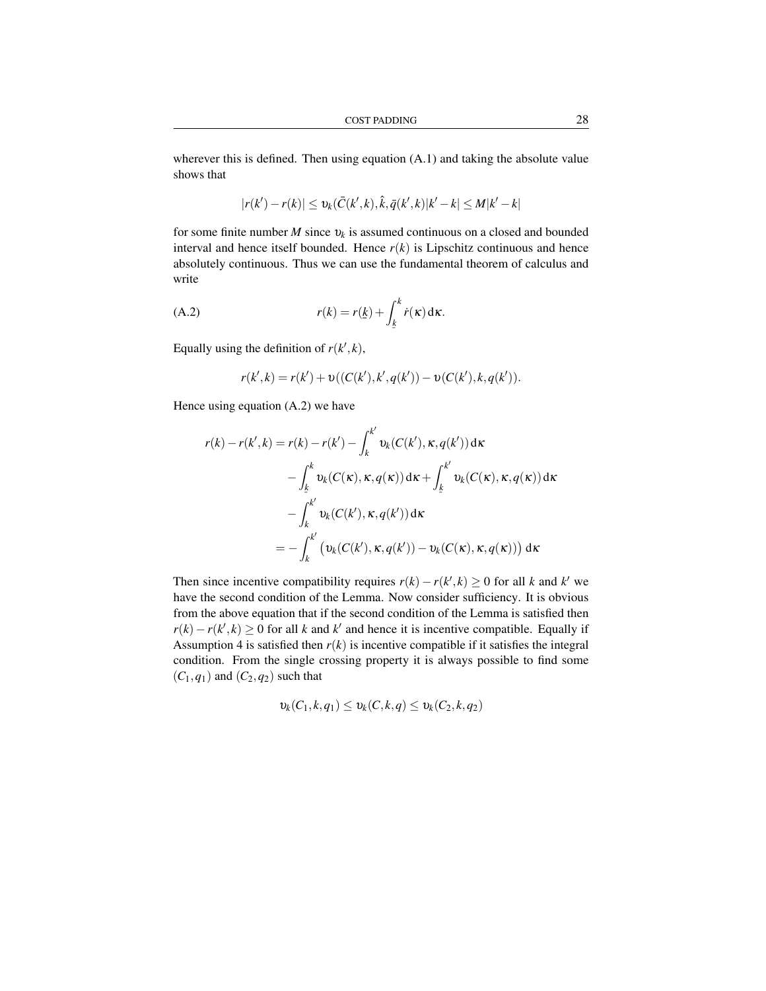wherever this is defined. Then using equation  $(A.1)$  and taking the absolute value shows that

$$
|r(k') - r(k)| \leq v_k(\bar{C}(k',k), \hat{k}, \bar{q}(k',k)|k'-k| \leq M|k'-k|
$$

for some finite number *M* since υ*<sup>k</sup>* is assumed continuous on a closed and bounded interval and hence itself bounded. Hence  $r(k)$  is Lipschitz continuous and hence absolutely continuous. Thus we can use the fundamental theorem of calculus and write

(A.2) 
$$
r(k) = r(\underline{k}) + \int_{\underline{k}}^{k} \dot{r}(\mathbf{x}) d\mathbf{x}.
$$

Equally using the definition of  $r(k',k)$ ,

$$
r(k',k) = r(k') + \upsilon((C(k'),k',q(k')) - \upsilon(C(k'),k,q(k')).
$$

Hence using equation (A.2) we have

$$
r(k) - r(k',k) = r(k) - r(k') - \int_{k}^{k'} \upsilon_k(C(k'), \kappa, q(k')) d\kappa
$$
  

$$
- \int_{\frac{k}{K}}^{k} \upsilon_k(C(\kappa), \kappa, q(\kappa)) d\kappa + \int_{\frac{k}{K}}^{k'} \upsilon_k(C(\kappa), \kappa, q(\kappa)) d\kappa
$$
  

$$
- \int_{k}^{k'} \upsilon_k(C(k'), \kappa, q(k')) d\kappa
$$
  

$$
= - \int_{k}^{k'} (\upsilon_k(C(k'), \kappa, q(k')) - \upsilon_k(C(\kappa), \kappa, q(\kappa))) d\kappa
$$

Then since incentive compatibility requires  $r(k) - r(k',k) \ge 0$  for all *k* and *k*<sup>*'*</sup> we have the second condition of the Lemma. Now consider sufficiency. It is obvious from the above equation that if the second condition of the Lemma is satisfied then  $r(k) - r(k',k) \geq 0$  for all *k* and *k*<sup>*'*</sup> and hence it is incentive compatible. Equally if Assumption 4 is satisfied then  $r(k)$  is incentive compatible if it satisfies the integral condition. From the single crossing property it is always possible to find some  $(C_1, q_1)$  and  $(C_2, q_2)$  such that

$$
\upsilon_k(C_1,k,q_1) \leq \upsilon_k(C,k,q) \leq \upsilon_k(C_2,k,q_2)
$$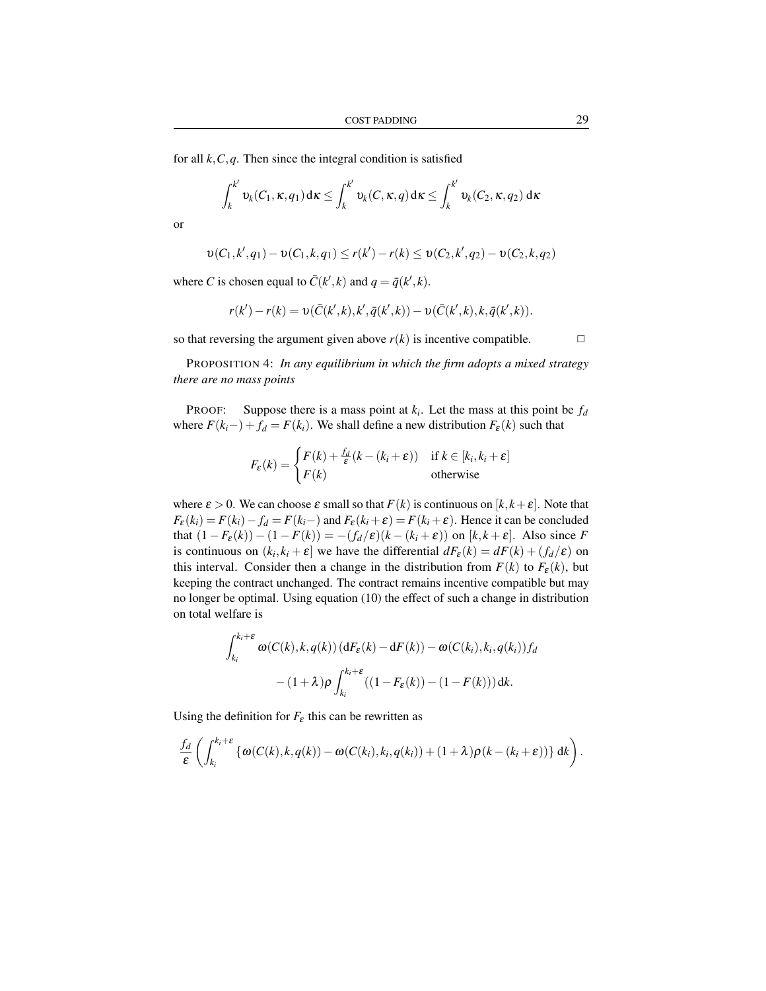for all  $k$ ,  $C$ ,  $q$ . Then since the integral condition is satisfied

$$
\int_{k}^{k'} \nu_k(C_1, \kappa, q_1) d\kappa \leq \int_{k}^{k'} \nu_k(C, \kappa, q) d\kappa \leq \int_{k}^{k'} \nu_k(C_2, \kappa, q_2) d\kappa
$$

or

$$
\upsilon(C_1,k',q_1) - \upsilon(C_1,k,q_1) \le r(k') - r(k) \le \upsilon(C_2,k',q_2) - \upsilon(C_2,k,q_2)
$$

where *C* is chosen equal to  $\bar{C}(k',k)$  and  $q = \bar{q}(k',k)$ .

$$
r(k') - r(k) = \upsilon(\bar{C}(k',k),k',\bar{q}(k',k)) - \upsilon(\bar{C}(k',k),k,\bar{q}(k',k)).
$$

so that reversing the argument given above  $r(k)$  is incentive compatible.  $\Box$ 

PROPOSITION 4: *In any equilibrium in which the firm adopts a mixed strategy there are no mass points*

PROOF: Suppose there is a mass point at  $k_i$ . Let the mass at this point be  $f_d$ where  $F(k_i-) + f_d = F(k_i)$ . We shall define a new distribution  $F_{\varepsilon}(k)$  such that

$$
F_{\varepsilon}(k) = \begin{cases} F(k) + \frac{f_d}{\varepsilon}(k - (k_i + \varepsilon)) & \text{if } k \in [k_i, k_i + \varepsilon] \\ F(k) & \text{otherwise} \end{cases}
$$

where  $\varepsilon > 0$ . We can choose  $\varepsilon$  small so that  $F(k)$  is continuous on  $[k, k + \varepsilon]$ . Note that  $F_{\varepsilon}(k_i) = F(k_i) - f_d = F(k_i -)$  and  $F_{\varepsilon}(k_i + \varepsilon) = F(k_i + \varepsilon)$ . Hence it can be concluded that  $(1 - F_{\varepsilon}(k)) - (1 - F(k)) = -(f_{d}/\varepsilon)(k - (k_i + \varepsilon))$  on [k, k + ε]. Also since *F* is continuous on  $(k_i, k_i + \varepsilon]$  we have the differential  $dF_{\varepsilon}(k) = dF(k) + (f_d/\varepsilon)$  on this interval. Consider then a change in the distribution from  $F(k)$  to  $F_{\varepsilon}(k)$ , but keeping the contract unchanged. The contract remains incentive compatible but may no longer be optimal. Using equation (10) the effect of such a change in distribution on total welfare is

$$
\int_{k_i}^{k_i+\varepsilon} \omega(C(k), k, q(k)) \left( dF_{\varepsilon}(k) - dF(k) \right) - \omega(C(k_i), k_i, q(k_i)) f_d
$$

$$
- (1+\lambda) \rho \int_{k_i}^{k_i+\varepsilon} \left( (1 - F_{\varepsilon}(k)) - (1 - F(k)) \right) dk.
$$

Using the definition for  $F_{\varepsilon}$  this can be rewritten as

$$
\frac{f_d}{\varepsilon} \left( \int_{k_i}^{k_i+\varepsilon} \left\{ \omega(C(k),k,q(k)) - \omega(C(k_i),k_i,q(k_i)) + (1+\lambda)\rho(k-(k_i+\varepsilon)) \right\} dk \right).
$$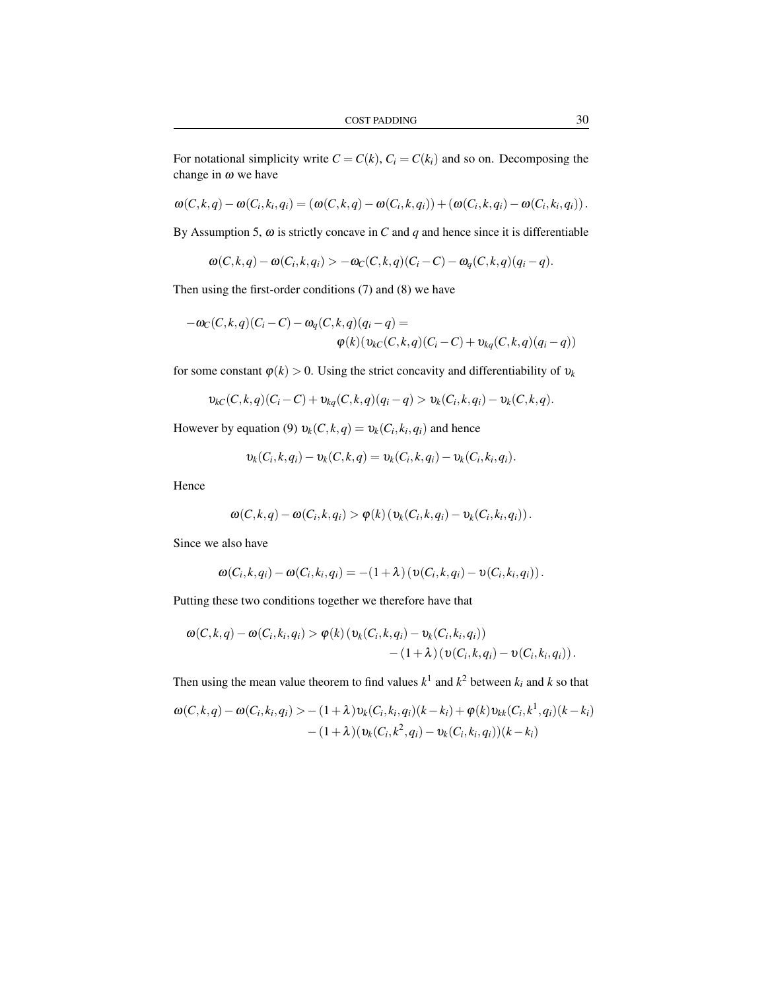$$
\omega(C,k,q) - \omega(C_i,k_i,q_i) = (\omega(C,k,q) - \omega(C_i,k,q_i)) + (\omega(C_i,k,q_i) - \omega(C_i,k_i,q_i)).
$$

By Assumption 5,  $\omega$  is strictly concave in *C* and *q* and hence since it is differentiable

 $\omega(C, k, q) - \omega(C_i, k, q_i) > -\omega_C(C, k, q)(C_i - C) - \omega_q(C, k, q)(q_i - q).$ 

Then using the first-order conditions (7) and (8) we have

$$
-\omega_C(C,k,q)(C_i-C)-\omega_q(C,k,q)(q_i-q)=\newline \varphi(k)(\upsilon_{kC}(C,k,q)(C_i-C)+\upsilon_{kq}(C,k,q)(q_i-q))
$$

for some constant  $\varphi(k) > 0$ . Using the strict concavity and differentiability of  $v_k$ 

$$
\nu_{kC}(C, k, q)(C_i - C) + \nu_{kq}(C, k, q)(q_i - q) > \nu_k(C_i, k, q_i) - \nu_k(C, k, q).
$$

However by equation (9)  $v_k(C, k, q) = v_k(C_i, k_i, q_i)$  and hence

$$
\mathfrak{v}_k(C_i,k,q_i)-\mathfrak{v}_k(C,k,q)=\mathfrak{v}_k(C_i,k,q_i)-\mathfrak{v}_k(C_i,k_i,q_i).
$$

Hence

$$
\boldsymbol{\omega}(C,k,q) - \boldsymbol{\omega}(C_i,k,q_i) > \boldsymbol{\varphi}(k) \left( \boldsymbol{v}_k(C_i,k,q_i) - \boldsymbol{v}_k(C_i,k_i,q_i) \right).
$$

Since we also have

$$
\boldsymbol{\omega}(C_i,k,q_i)-\boldsymbol{\omega}(C_i,k_i,q_i)=-\left(1+\lambda\right)\left(\boldsymbol{\upsilon}(C_i,k,q_i)-\boldsymbol{\upsilon}(C_i,k_i,q_i)\right).
$$

Putting these two conditions together we therefore have that

$$
\omega(C,k,q) - \omega(C_i,k_i,q_i) > \varphi(k) \left( \nu_k(C_i,k,q_i) - \nu_k(C_i,k_i,q_i) \right) - (1+\lambda) \left( \nu(C_i,k,q_i) - \nu(C_i,k_i,q_i) \right).
$$

Then using the mean value theorem to find values  $k^1$  and  $k^2$  between  $k_i$  and  $k$  so that

$$
\omega(C,k,q) - \omega(C_i,k_i,q_i) > -(1+\lambda)v_k(C_i,k_i,q_i)(k-k_i) + \varphi(k)v_{kk}(C_i,k^1,q_i)(k-k_i) - (1+\lambda)(v_k(C_i,k^2,q_i) - v_k(C_i,k_i,q_i))(k-k_i)
$$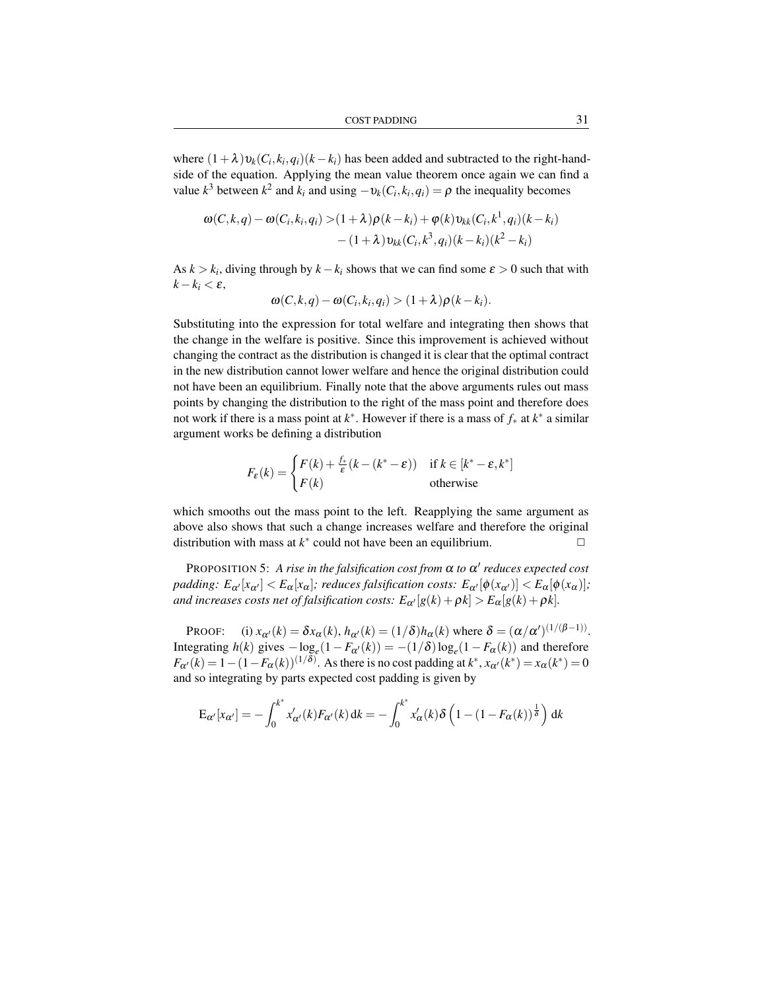where  $(1+\lambda)v_k(C_i, k_i, q_i)(k-k_i)$  has been added and subtracted to the right-handside of the equation. Applying the mean value theorem once again we can find a value  $k^3$  between  $k^2$  and  $k_i$  and using  $-v_k(C_i, k_i, q_i) = \rho$  the inequality becomes

$$
\omega(C,k,q) - \omega(C_i,k_i,q_i) > (1+\lambda)\rho(k-k_i) + \varphi(k)v_{kk}(C_i,k^1,q_i)(k-k_i) - (1+\lambda)v_{kk}(C_i,k^3,q_i)(k-k_i)(k^2-k_i)
$$

As  $k > k_i$ , diving through by  $k - k_i$  shows that we can find some  $\varepsilon > 0$  such that with  $k - k_i < \varepsilon$ ,

$$
\omega(C,k,q) - \omega(C_i,k_i,q_i) > (1+\lambda)\rho(k-k_i).
$$

Substituting into the expression for total welfare and integrating then shows that the change in the welfare is positive. Since this improvement is achieved without changing the contract as the distribution is changed it is clear that the optimal contract in the new distribution cannot lower welfare and hence the original distribution could not have been an equilibrium. Finally note that the above arguments rules out mass points by changing the distribution to the right of the mass point and therefore does not work if there is a mass point at *k* ∗ . However if there is a mass of *f*<sup>∗</sup> at *k* ∗ a similar argument works be defining a distribution

$$
F_{\varepsilon}(k) = \begin{cases} F(k) + \frac{f_{*}}{\varepsilon}(k - (k^{*} - \varepsilon)) & \text{if } k \in [k^{*} - \varepsilon, k^{*}]\\ F(k) & \text{otherwise} \end{cases}
$$

which smooths out the mass point to the left. Reapplying the same argument as above also shows that such a change increases welfare and therefore the original distribution with mass at  $k^*$  could not have been an equilibrium.  $\Box$ 

PROPOSITION 5: A rise in the falsification cost from  $\alpha$  to  $\alpha'$  reduces expected cost *padding:*  $E_{\alpha'}[x_{\alpha'}] < E_{\alpha}[x_{\alpha}]$ ; *reduces falsification costs:*  $E_{\alpha'}[\phi(x_{\alpha'})] < E_{\alpha}[\phi(x_{\alpha})]$ ; *and increases costs net of falsification costs:*  $E_{\alpha'}[g(k) + \rho k] > E_{\alpha}[g(k) + \rho k]$ .

PROOF: (i)  $x_{\alpha'}(k) = \delta x_{\alpha}(k)$ ,  $h_{\alpha'}(k) = (1/\delta)h_{\alpha}(k)$  where  $\delta = (\alpha/\alpha')^{(1/(\beta-1))}$ . Integrating  $h(k)$  gives  $-\log_e(1 - F_{\alpha}(k)) = -(1/\delta)\log_e(1 - F_{\alpha}(k))$  and therefore  $F_{\alpha'}(k) = 1 - (1 - F_{\alpha}(k))^{(1/\delta)}$ . As there is no cost padding at  $k^*, x_{\alpha'}(k^*) = x_{\alpha}(k^*) = 0$ and so integrating by parts expected cost padding is given by

$$
E_{\alpha'}[x_{\alpha'}] = -\int_0^{k^*} x'_{\alpha'}(k) F_{\alpha'}(k) dk = -\int_0^{k^*} x'_{\alpha}(k) \delta\left(1 - (1 - F_{\alpha}(k))^\frac{1}{\delta}\right) dk
$$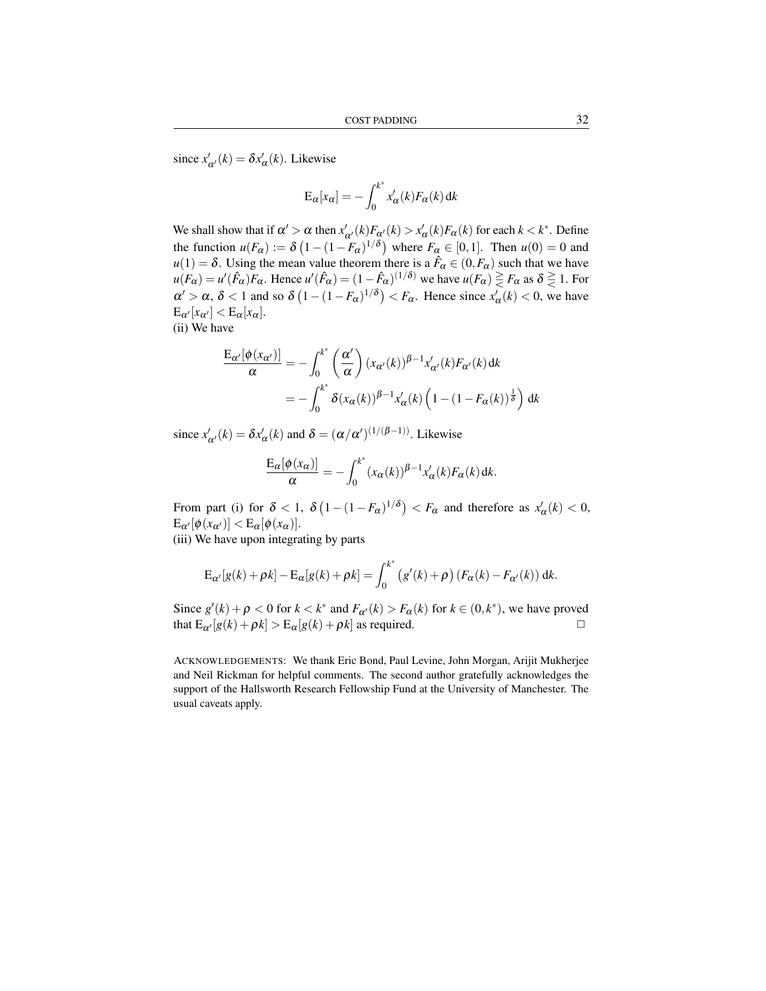since  $x'_{\alpha'}(k) = \delta x'_{\alpha}(k)$ . Likewise

$$
E_{\alpha}[x_{\alpha}] = -\int_0^{k^*} x'_{\alpha}(k) F_{\alpha}(k) dk
$$

We shall show that if  $\alpha' > \alpha$  then  $x'_{\alpha'}(k)F_{\alpha'}(k) > x'_{\alpha}(k)F_{\alpha}(k)$  for each  $k < k^*$ . Define the function  $u(F_\alpha) := \delta \left(1 - (1 - F_\alpha)^{1/\delta}\right)$  where  $F_\alpha \in [0, 1]$ . Then  $u(0) = 0$  and  $u(1) = \delta$ . Using the mean value theorem there is a  $\hat{F}_{\alpha} \in (0, F_{\alpha})$  such that we have  $u(F_\alpha) = u'(\hat{F}_\alpha)F_\alpha$ . Hence  $u'(\hat{F}_\alpha) = (1-\hat{F}_\alpha)^{(1/\delta)}$  we have  $u(F_\alpha) \geq F_\alpha$  as  $\delta \geq 1$ . For  $\alpha' > \alpha$ ,  $\delta < 1$  and so  $\delta \left(1 - (1 - F_{\alpha})^{1/\delta}\right) < F_{\alpha}$ . Hence since  $x'_{\alpha}(k) < 0$ , we have  $E_{\alpha'}[x_{\alpha'}] < E_{\alpha}[x_{\alpha}].$ (ii) We have

$$
\frac{\mathcal{E}_{\alpha'}[\phi(x_{\alpha'})]}{\alpha} = -\int_0^{k^*} \left(\frac{\alpha'}{\alpha}\right) (x_{\alpha'}(k))^{\beta-1} x'_{\alpha'}(k) F_{\alpha'}(k) dk
$$

$$
= -\int_0^{k^*} \delta(x_{\alpha}(k))^{\beta-1} x'_{\alpha}(k) \left(1 - (1 - F_{\alpha}(k))^{\frac{1}{\delta}}\right) dk
$$

since  $x'_{\alpha'}(k) = \delta x'_{\alpha}(k)$  and  $\delta = (\alpha/\alpha')^{(1/(\beta-1))}$ . Likewise

$$
\frac{\mathcal{E}_{\alpha}[\phi(x_{\alpha})]}{\alpha} = -\int_0^{k^*} (x_{\alpha}(k))^{\beta-1} x'_{\alpha}(k) F_{\alpha}(k) dk.
$$

From part (i) for  $\delta < 1$ ,  $\delta (1 - (1 - F_{\alpha})^{1/\delta}) < F_{\alpha}$  and therefore as  $x'_{\alpha}(k) < 0$ ,  $\mathbb{E}_{\alpha}[\phi(x_{\alpha})] < \mathbb{E}_{\alpha}[\phi(x_{\alpha})].$ 

(iii) We have upon integrating by parts

$$
\mathcal{E}_{\alpha'}[g(k)+\rho k]-\mathcal{E}_{\alpha}[g(k)+\rho k]=\int_0^{k^*}\left(g'(k)+\rho\right)\left(F_{\alpha}(k)-F_{\alpha'}(k)\right)\mathrm{d}k.
$$

Since  $g'(k) + \rho < 0$  for  $k < k^*$  and  $F_{\alpha}(k) > F_{\alpha}(k)$  for  $k \in (0, k^*)$ , we have proved that  $E_{\alpha'}[g(k) + \rho k] > E_{\alpha}[g(k) + \rho k]$  as required.

ACKNOWLEDGEMENTS: We thank Eric Bond, Paul Levine, John Morgan, Arijit Mukherjee and Neil Rickman for helpful comments. The second author gratefully acknowledges the support of the Hallsworth Research Fellowship Fund at the University of Manchester. The usual caveats apply.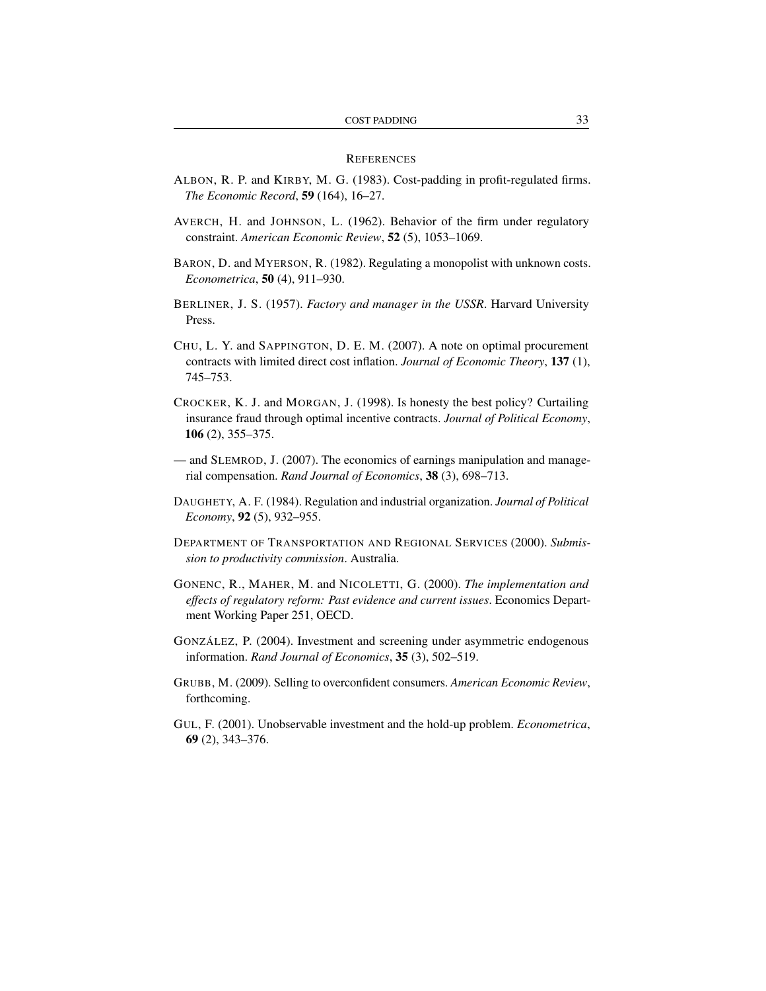#### **REFERENCES**

- ALBON, R. P. and KIRBY, M. G. (1983). Cost-padding in profit-regulated firms. *The Economic Record*, 59 (164), 16–27.
- AVERCH, H. and JOHNSON, L. (1962). Behavior of the firm under regulatory constraint. *American Economic Review*, 52 (5), 1053–1069.
- BARON, D. and MYERSON, R. (1982). Regulating a monopolist with unknown costs. *Econometrica*, 50 (4), 911–930.
- BERLINER, J. S. (1957). *Factory and manager in the USSR*. Harvard University Press.
- CHU, L. Y. and SAPPINGTON, D. E. M. (2007). A note on optimal procurement contracts with limited direct cost inflation. *Journal of Economic Theory*, 137 (1), 745–753.
- CROCKER, K. J. and MORGAN, J. (1998). Is honesty the best policy? Curtailing insurance fraud through optimal incentive contracts. *Journal of Political Economy*, 106 (2), 355–375.
- and SLEMROD, J. (2007). The economics of earnings manipulation and managerial compensation. *Rand Journal of Economics*, 38 (3), 698–713.
- DAUGHETY, A. F. (1984). Regulation and industrial organization. *Journal of Political Economy*, 92 (5), 932–955.
- DEPARTMENT OF TRANSPORTATION AND REGIONAL SERVICES (2000). *Submission to productivity commission*. Australia.
- GONENC, R., MAHER, M. and NICOLETTI, G. (2000). *The implementation and effects of regulatory reform: Past evidence and current issues*. Economics Department Working Paper 251, OECD.
- GONZÁLEZ, P. (2004). Investment and screening under asymmetric endogenous information. *Rand Journal of Economics*, 35 (3), 502–519.
- GRUBB, M. (2009). Selling to overconfident consumers. *American Economic Review*, forthcoming.
- GUL, F. (2001). Unobservable investment and the hold-up problem. *Econometrica*, 69 (2), 343–376.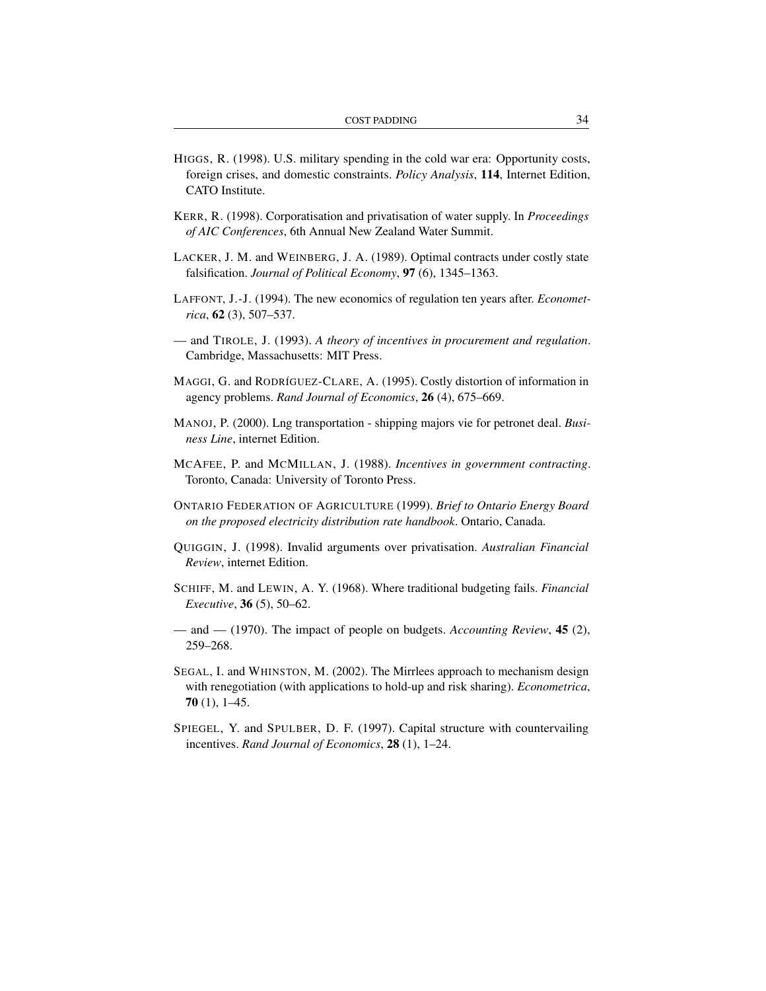- HIGGS, R. (1998). U.S. military spending in the cold war era: Opportunity costs, foreign crises, and domestic constraints. *Policy Analysis*, 114, Internet Edition, CATO Institute.
- KERR, R. (1998). Corporatisation and privatisation of water supply. In *Proceedings of AIC Conferences*, 6th Annual New Zealand Water Summit.
- LACKER, J. M. and WEINBERG, J. A. (1989). Optimal contracts under costly state falsification. *Journal of Political Economy*, 97 (6), 1345–1363.
- LAFFONT, J.-J. (1994). The new economics of regulation ten years after. *Econometrica*, 62 (3), 507–537.
- and TIROLE, J. (1993). *A theory of incentives in procurement and regulation*. Cambridge, Massachusetts: MIT Press.
- MAGGI, G. and RODRÍGUEZ-CLARE, A. (1995). Costly distortion of information in agency problems. *Rand Journal of Economics*, 26 (4), 675–669.
- MANOJ, P. (2000). Lng transportation shipping majors vie for petronet deal. *Business Line*, internet Edition.
- MCAFEE, P. and MCMILLAN, J. (1988). *Incentives in government contracting*. Toronto, Canada: University of Toronto Press.
- ONTARIO FEDERATION OF AGRICULTURE (1999). *Brief to Ontario Energy Board on the proposed electricity distribution rate handbook*. Ontario, Canada.
- QUIGGIN, J. (1998). Invalid arguments over privatisation. *Australian Financial Review*, internet Edition.
- SCHIFF, M. and LEWIN, A. Y. (1968). Where traditional budgeting fails. *Financial Executive*, 36 (5), 50–62.
- and (1970). The impact of people on budgets. *Accounting Review*, 45 (2), 259–268.
- SEGAL, I. and WHINSTON, M. (2002). The Mirrlees approach to mechanism design with renegotiation (with applications to hold-up and risk sharing). *Econometrica*, 70 (1), 1–45.
- SPIEGEL, Y. and SPULBER, D. F. (1997). Capital structure with countervailing incentives. *Rand Journal of Economics*, 28 (1), 1–24.